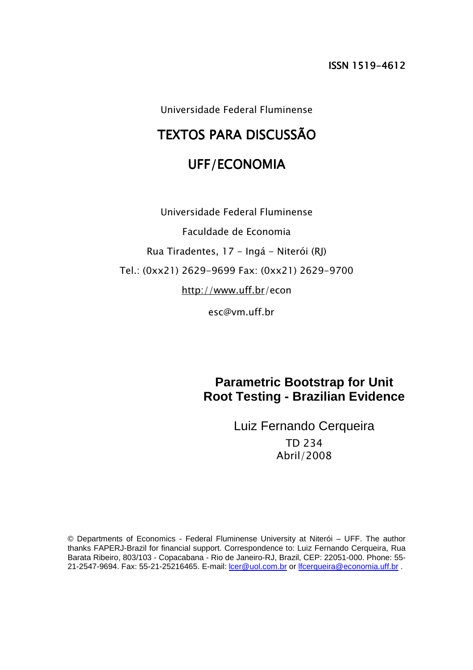Universidade Federal Fluminense

# TEXTOS PARA DISCUSSÃO

# UFF/ECONOMIA

Universidade Federal Fluminense Faculdade de Economia Rua Tiradentes, 17 - Ingá - Niterói (RJ) Tel.: (0xx21) 2629-9699 Fax: (0xx21) 2629-9700 http://www.uff.br/econ

esc@vm.uff.br

**Parametric Bootstrap for Unit Root Testing - Brazilian Evidence** 

> Luiz Fernando Cerqueira TD 234 Abril/2008

© Departments of Economics - Federal Fluminense University at Niterói – UFF. The author thanks FAPERJ-Brazil for financial support. Correspondence to: Luiz Fernando Cerqueira, Rua Barata Ribeiro, 803/103 - Copacabana - Rio de Janeiro-RJ, Brazil, CEP: 22051-000. Phone: 55- 21-2547-9694. Fax: 55-21-25216465. E-mail: lcer@uol.com.br or lfcerqueira@economia.uff.br .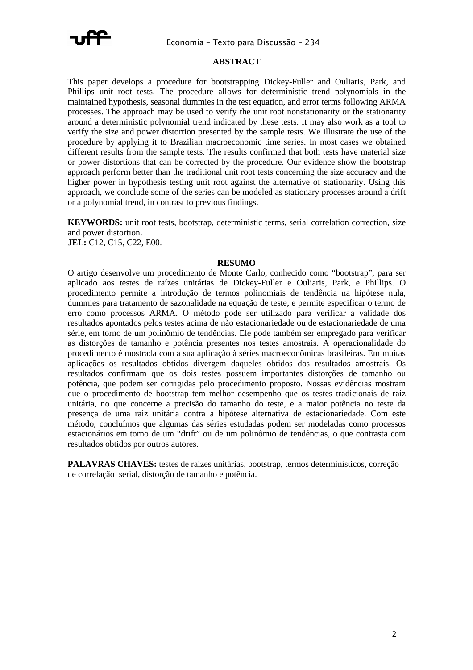

#### **ABSTRACT**

This paper develops a procedure for bootstrapping Dickey-Fuller and Ouliaris, Park, and Phillips unit root tests. The procedure allows for deterministic trend polynomials in the maintained hypothesis, seasonal dummies in the test equation, and error terms following ARMA processes. The approach may be used to verify the unit root nonstationarity or the stationarity around a deterministic polynomial trend indicated by these tests. It may also work as a tool to verify the size and power distortion presented by the sample tests. We illustrate the use of the procedure by applying it to Brazilian macroeconomic time series. In most cases we obtained different results from the sample tests. The results confirmed that both tests have material size or power distortions that can be corrected by the procedure. Our evidence show the bootstrap approach perform better than the traditional unit root tests concerning the size accuracy and the higher power in hypothesis testing unit root against the alternative of stationarity. Using this approach, we conclude some of the series can be modeled as stationary processes around a drift or a polynomial trend, in contrast to previous findings.

**KEYWORDS:** unit root tests, bootstrap, deterministic terms, serial correlation correction, size and power distortion. **JEL:** C12, C15, C22, E00.

#### **RESUMO**

O artigo desenvolve um procedimento de Monte Carlo, conhecido como "bootstrap", para ser aplicado aos testes de raízes unitárias de Dickey-Fuller e Ouliaris, Park, e Phillips. O procedimento permite a introdução de termos polinomiais de tendência na hipótese nula, dummies para tratamento de sazonalidade na equação de teste, e permite especificar o termo de erro como processos ARMA. O método pode ser utilizado para verificar a validade dos resultados apontados pelos testes acima de não estacionariedade ou de estacionariedade de uma série, em torno de um polinômio de tendências. Ele pode também ser empregado para verificar as distorções de tamanho e potência presentes nos testes amostrais. A operacionalidade do procedimento é mostrada com a sua aplicação à séries macroeconômicas brasileiras. Em muitas aplicações os resultados obtidos divergem daqueles obtidos dos resultados amostrais. Os resultados confirmam que os dois testes possuem importantes distorções de tamanho ou potência, que podem ser corrigidas pelo procedimento proposto. Nossas evidências mostram que o procedimento de bootstrap tem melhor desempenho que os testes tradicionais de raiz unitária, no que concerne a precisão do tamanho do teste, e a maior potência no teste da presença de uma raiz unitária contra a hipótese alternativa de estacionariedade. Com este método, concluímos que algumas das séries estudadas podem ser modeladas como processos estacionários em torno de um "drift" ou de um polinômio de tendências, o que contrasta com resultados obtidos por outros autores.

**PALAVRAS CHAVES:** testes de raízes unitárias, bootstrap, termos determinísticos, correção de correlação serial, distorção de tamanho e potência.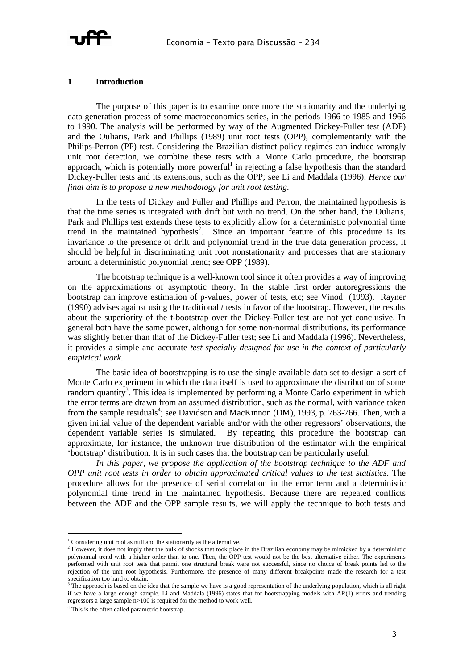

#### **1 Introduction**

The purpose of this paper is to examine once more the stationarity and the underlying data generation process of some macroeconomics series, in the periods 1966 to 1985 and 1966 to 1990. The analysis will be performed by way of the Augmented Dickey-Fuller test (ADF) and the Ouliaris, Park and Phillips (1989) unit root tests (OPP), complementarily with the Philips-Perron (PP) test. Considering the Brazilian distinct policy regimes can induce wrongly unit root detection, we combine these tests with a Monte Carlo procedure, the bootstrap approach, which is potentially more powerful<sup>1</sup> in rejecting a false hypothesis than the standard Dickey-Fuller tests and its extensions, such as the OPP; see Li and Maddala (1996). *Hence our final aim is to propose a new methodology for unit root testing.* 

In the tests of Dickey and Fuller and Phillips and Perron, the maintained hypothesis is that the time series is integrated with drift but with no trend. On the other hand, the Ouliaris, Park and Phillips test extends these tests to explicitly allow for a deterministic polynomial time trend in the maintained hypothesis<sup>2</sup>. Since an important feature of this procedure is its invariance to the presence of drift and polynomial trend in the true data generation process, it should be helpful in discriminating unit root nonstationarity and processes that are stationary around a deterministic polynomial trend; see OPP (1989).

The bootstrap technique is a well-known tool since it often provides a way of improving on the approximations of asymptotic theory. In the stable first order autoregressions the bootstrap can improve estimation of p-values, power of tests, etc; see Vinod (1993). Rayner (1990) advises against using the traditional *t* tests in favor of the bootstrap. However, the results about the superiority of the t-bootstrap over the Dickey-Fuller test are not yet conclusive. In general both have the same power, although for some non-normal distributions, its performance was slightly better than that of the Dickey-Fuller test; see Li and Maddala (1996). Nevertheless, it provides a simple and accurate *test specially designed for use in the context of particularly empirical work*.

The basic idea of bootstrapping is to use the single available data set to design a sort of Monte Carlo experiment in which the data itself is used to approximate the distribution of some random quantity<sup>3</sup>. This idea is implemented by performing a Monte Carlo experiment in which the error terms are drawn from an assumed distribution, such as the normal, with variance taken from the sample residuals<sup>4</sup>; see Davidson and MacKinnon (DM), 1993, p. 763-766. Then, with a given initial value of the dependent variable and/or with the other regressors' observations, the dependent variable series is simulated. By repeating this procedure the bootstrap can approximate, for instance, the unknown true distribution of the estimator with the empirical 'bootstrap' distribution. It is in such cases that the bootstrap can be particularly useful.

*In this paper, we propose the application of the bootstrap technique to the ADF and OPP unit root tests in order to obtain approximated critical values to the test statistics*. The procedure allows for the presence of serial correlation in the error term and a deterministic polynomial time trend in the maintained hypothesis. Because there are repeated conflicts between the ADF and the OPP sample results, we will apply the technique to both tests and

ł <sup>1</sup> Considering unit root as null and the stationarity as the alternative.

<sup>&</sup>lt;sup>2</sup> However, it does not imply that the bulk of shocks that took place in the Brazilian economy may be mimicked by a deterministic polynomial trend with a higher order than to one. Then, the OPP test would not be the best alternative either. The experiments performed with unit root tests that permit one structural break were not successful, since no choice of break points led to the rejection of the unit root hypothesis. Furthermore, the presence of many different breakpoints made the research for a test specification too hard to obtain.

The approach is based on the idea that the sample we have is a good representation of the underlying population, which is all right if we have a large enough sample. Li and Maddala (1996) states that for bootstrapping models with AR(1) errors and trending regressors a large sample n>100 is required for the method to work well.

<sup>4</sup> This is the often called parametric bootstrap.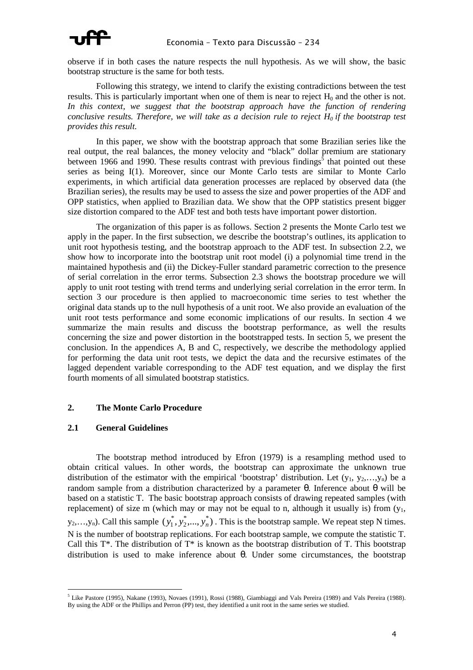

observe if in both cases the nature respects the null hypothesis. As we will show, the basic bootstrap structure is the same for both tests.

Following this strategy, we intend to clarify the existing contradictions between the test results. This is particularly important when one of them is near to reject  $H_0$  and the other is not. *In this context, we suggest that the bootstrap approach have the function of rendering conclusive results. Therefore, we will take as a decision rule to reject*  $H_0$  *if the bootstrap test provides this result.* 

In this paper, we show with the bootstrap approach that some Brazilian series like the real output, the real balances, the money velocity and "black" dollar premium are stationary between 1966 and 1990. These results contrast with previous findings<sup>5</sup> that pointed out these series as being I(1). Moreover, since our Monte Carlo tests are similar to Monte Carlo experiments, in which artificial data generation processes are replaced by observed data (the Brazilian series), the results may be used to assess the size and power properties of the ADF and OPP statistics, when applied to Brazilian data. We show that the OPP statistics present bigger size distortion compared to the ADF test and both tests have important power distortion.

The organization of this paper is as follows. Section 2 presents the Monte Carlo test we apply in the paper. In the first subsection, we describe the bootstrap's outlines, its application to unit root hypothesis testing, and the bootstrap approach to the ADF test. In subsection 2.2, we show how to incorporate into the bootstrap unit root model (i) a polynomial time trend in the maintained hypothesis and (ii) the Dickey-Fuller standard parametric correction to the presence of serial correlation in the error terms. Subsection 2.3 shows the bootstrap procedure we will apply to unit root testing with trend terms and underlying serial correlation in the error term. In section 3 our procedure is then applied to macroeconomic time series to test whether the original data stands up to the null hypothesis of a unit root. We also provide an evaluation of the unit root tests performance and some economic implications of our results. In section 4 we summarize the main results and discuss the bootstrap performance, as well the results concerning the size and power distortion in the bootstrapped tests. In section 5, we present the conclusion. In the appendices A, B and C, respectively, we describe the methodology applied for performing the data unit root tests, we depict the data and the recursive estimates of the lagged dependent variable corresponding to the ADF test equation, and we display the first fourth moments of all simulated bootstrap statistics.

#### **2. The Monte Carlo Procedure**

#### **2.1 General Guidelines**

The bootstrap method introduced by Efron (1979) is a resampling method used to obtain critical values. In other words, the bootstrap can approximate the unknown true distribution of the estimator with the empirical 'bootstrap' distribution. Let  $(y_1, y_2,...,y_n)$  be a random sample from a distribution characterized by a parameter θ. Inference about θ will be based on a statistic T. The basic bootstrap approach consists of drawing repeated samples (with replacement) of size m (which may or may not be equal to n, although it usually is) from  $(y_1,$  $y_2,...,y_n$ ). Call this sample  $(y_1^*, y_2^*,..., y_n^*)$ 2 \*  $y_1^*, y_2^*,..., y_n^*$ ). This is the bootstrap sample. We repeat step N times. N is the number of bootstrap replications. For each bootstrap sample, we compute the statistic T. Call this  $T^*$ . The distribution of  $T^*$  is known as the bootstrap distribution of T. This bootstrap distribution is used to make inference about θ. Under some circumstances, the bootstrap

ł <sup>5</sup> Like Pastore (1995), Nakane (1993), Novaes (1991), Rossi (1988), Giambiaggi and Vals Pereira (1989) and Vals Pereira (1988). By using the ADF or the Phillips and Perron (PP) test, they identified a unit root in the same series we studied.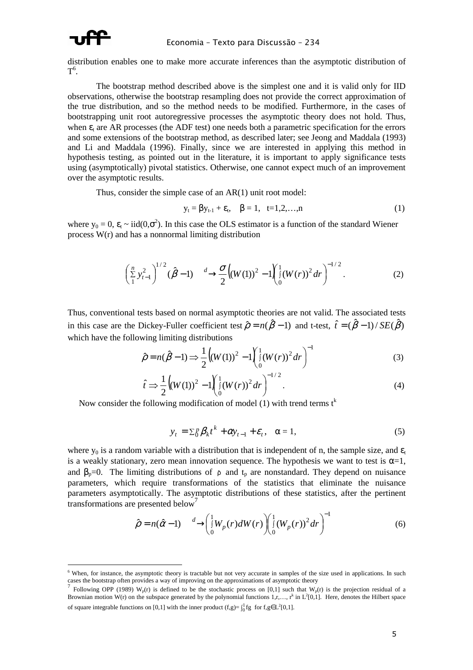

ł

distribution enables one to make more accurate inferences than the asymptotic distribution of  $T^6$ .

The bootstrap method described above is the simplest one and it is valid only for IID observations, otherwise the bootstrap resampling does not provide the correct approximation of the true distribution, and so the method needs to be modified. Furthermore, in the cases of bootstrapping unit root autoregressive processes the asymptotic theory does not hold. Thus, when  $\varepsilon_t$  are AR processes (the ADF test) one needs both a parametric specification for the errors and some extensions of the bootstrap method, as described later; see Jeong and Maddala (1993) and Li and Maddala (1996). Finally, since we are interested in applying this method in hypothesis testing, as pointed out in the literature, it is important to apply significance tests using (asymptotically) pivotal statistics. Otherwise, one cannot expect much of an improvement over the asymptotic results.

Thus, consider the simple case of an AR(1) unit root model:

$$
y_t = \beta y_{t-1} + \varepsilon_t, \quad \beta = 1, \quad t = 1, 2, ..., n
$$
 (1)

where  $y_0 = 0$ ,  $\varepsilon_t \sim \text{iid}(0, \sigma^2)$ . In this case the OLS estimator is a function of the standard Wiener process W(r) and has a nonnormal limiting distribution

$$
\left(\frac{n}{2}y_{t-1}^2\right)^{1/2}(\hat{\beta}-1)\frac{d}{2}\frac{\sigma}{2}\Big((W(1))^2-1\Big(\frac{1}{9}(W(r))^2dr\Big)^{-1/2}.
$$
 (2)

Thus, conventional tests based on normal asymptotic theories are not valid. The associated tests in this case are the Dickey-Fuller coefficient test  $\hat{\rho} = n(\hat{\beta} - 1)$  and t-test,  $\hat{t} = (\hat{\beta} - 1)/SE(\hat{\beta})$ which have the following limiting distributions

$$
\hat{\rho} = n(\hat{\beta} - 1) \Longrightarrow \frac{1}{2} \Big( (W(1))^2 - 1 \Big) \Big( \frac{1}{9} (W(r))^2 dr \Big)^{-1} \tag{3}
$$

$$
\hat{t} \Rightarrow \frac{1}{2} \Big( (W(1))^2 - 1 \Big) \Big|_{0}^{1} (W(r))^2 dr \Big)^{-1/2} . \tag{4}
$$

Now consider the following modification of model (1) with trend terms  $t^k$ 

$$
y_t = \sum_{l} \beta_k t^k + \alpha y_{t-1} + \varepsilon_t, \quad \alpha = 1,
$$

where  $y_0$  is a random variable with a distribution that is independent of n, the sample size, and  $\epsilon_t$ is a weakly stationary, zero mean innovation sequence. The hypothesis we want to test is  $\alpha=1$ , and  $\beta_p=0$ . The limiting distributions of  $\rho$  and  $t_p$  are nonstandard. They depend on nuisance parameters, which require transformations of the statistics that eliminate the nuisance parameters asymptotically. The asymptotic distributions of these statistics, after the pertinent transformations are presented below<sup>7</sup>

$$
\hat{\rho} = n(\hat{\alpha} - 1) \frac{d}{d\theta} \left( \int_0^1 W_p(r) dW(r) \right) \left( \int_0^1 (W_p(r))^2 dr \right)^{-1}
$$
(6)

<sup>&</sup>lt;sup>6</sup> When, for instance, the asymptotic theory is tractable but not very accurate in samples of the size used in applications. In such cases the bootstrap often provides a way of improving on the approximations of asymptotic theory  $\frac{7}{5}$  Fellowing ODD (1080) W (a) is defined to be the atocheric agency on  $[0,1]$  and the theory

Following OPP (1989) W<sub>p</sub>(r) is defined to be the stochastic process on [0,1] such that W<sub>p</sub>(r) is the projection residual of a Brownian motion W(r) on the subspace generated by the polynomial functions  $1, r, \ldots, r^k$  in  $L^2[0,1]$ . Here, denotes the Hilbert space of square integrable functions on [0,1] with the inner product  $(f,g) = \int_0^1 fg$  for  $f,g \in L^2[0,1]$ .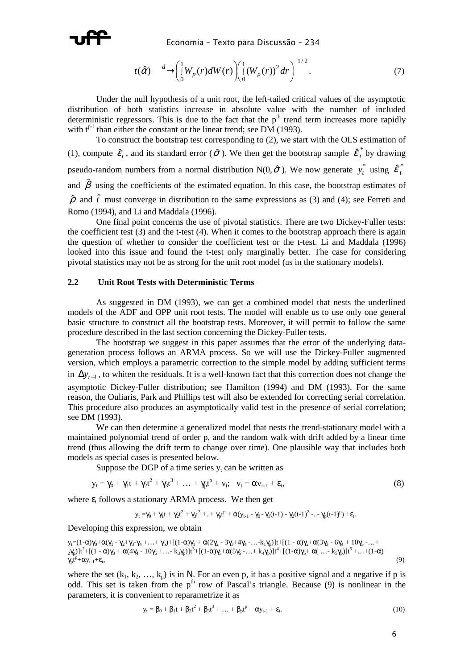

$$
t(\hat{\alpha}) \longrightarrow \left(\begin{matrix} 1 \\ 0 \\ W_p(r) dW(r) \end{matrix}\right) \left(\begin{matrix} 1 \\ 0 \\ W_p(r) \end{matrix}\right)^2 dr\right)^{-1/2}.
$$
 (7)

Under the null hypothesis of a unit root, the left-tailed critical values of the asymptotic distribution of both statistics increase in absolute value with the number of included deterministic regressors. This is due to the fact that the  $p<sup>th</sup>$  trend term increases more rapidly with  $t^{p-1}$  than either the constant or the linear trend; see DM (1993).

To construct the bootstrap test corresponding to (2), we start with the OLS estimation of (1), compute  $\hat{\mathcal{E}}_t$ , and its standard error ( $\hat{\sigma}$ ). We then get the bootstrap sample  $\hat{\mathcal{E}}_t^*$  by drawing pseudo-random numbers from a normal distribution  $N(0, \hat{\sigma})$ . We now generate  $y_t^*$  using  $\hat{\varepsilon}_t^*$ and  $\hat{\beta}$  using the coefficients of the estimated equation. In this case, the bootstrap estimates of  $\hat{\rho}$  and  $\hat{t}$  must converge in distribution to the same expressions as (3) and (4); see Ferreti and Romo (1994), and Li and Maddala (1996).

One final point concerns the use of pivotal statistics. There are two Dickey-Fuller tests: the coefficient test  $(3)$  and the t-test  $(4)$ . When it comes to the bootstrap approach there is again the question of whether to consider the coefficient test or the t-test. Li and Maddala (1996) looked into this issue and found the t-test only marginally better. The case for considering pivotal statistics may not be as strong for the unit root model (as in the stationary models).

#### **2.2 Unit Root Tests with Deterministic Terms**

As suggested in DM (1993), we can get a combined model that nests the underlined models of the ADF and OPP unit root tests. The model will enable us to use only one general basic structure to construct all the bootstrap tests. Moreover, it will permit to follow the same procedure described in the last section concerning the Dickey-Fuller tests.

The bootstrap we suggest in this paper assumes that the error of the underlying datageneration process follows an ARMA process. So we will use the Dickey-Fuller augmented version, which employs a parametric correction to the simple model by adding sufficient terms in  $\Delta y_{t-i}$ , to whiten the residuals. It is a well-known fact that this correction does not change the asymptotic Dickey-Fuller distribution; see Hamilton (1994) and DM (1993). For the same reason, the Ouliaris, Park and Phillips test will also be extended for correcting serial correlation. This procedure also produces an asymptotically valid test in the presence of serial correlation; see DM (1993).

We can then determine a generalized model that nests the trend-stationary model with a maintained polynomial trend of order p, and the random walk with drift added by a linear time trend (thus allowing the drift term to change over time). One plausible way that includes both models as special cases is presented below.

Suppose the DGP of a time series  $y_t$  can be written as

$$
y_{t} = \gamma_{0} + \gamma_{1}t + \gamma_{2}t^{2} + \gamma_{3}t^{3} + ... + \gamma_{p}t^{p} + v_{t}; \quad v_{t} = \alpha v_{t-1} + \varepsilon_{t}, \tag{8}
$$

where  $\varepsilon$ <sub>t</sub> follows a stationary ARMA process. We then get

$$
y_t = \gamma_0 + \gamma_1 t + \gamma_2 t^2 + \gamma_3 t^3 + .. + \gamma_p t^p + \alpha (y_{t-1} - \gamma_0 - \gamma_1 (t-1) - \gamma_2 (t-1)^2 - .. - \gamma_p (t-1)^p) + \epsilon_t
$$

Developing this expression, we obtain

 $y_1=(1-\alpha)\gamma_0+\alpha(\gamma_1-\gamma_2+\gamma_3-\gamma_4+\ldots+\gamma_p)+[(1-\alpha)\gamma_1+\alpha(2\gamma_2-3\gamma_3+4\gamma_4-\ldots+k_1\gamma_p)]t+[(1-\alpha)\gamma_2+\alpha(3\gamma_3-6\gamma_4+10\gamma_5-\ldots+\gamma_p)]t+[(1-\alpha)\gamma_2+\alpha(3\gamma_5-\gamma_4+\gamma_5+\gamma_6+\gamma_7+\gamma_7+\gamma_8+\gamma_8+\gamma_9)]t+[(1-\alpha)\gamma_2+\alpha(3\gamma_3-\gamma_4+\gamma_6+\gamma_7+\gamma_8+\gamma_9)]t+[(1-\alpha)\gamma_2+\alpha(3\gamma_3$  $_{2}\gamma_{p}$ ]t<sup>2</sup>+[(1 - α) $\gamma_{3} + \alpha(4\gamma_{4} - 10\gamma_{5} + ... + k_{3}\gamma_{p})$ ]t<sup>3</sup>+[(1-α) $\gamma_{5} + \alpha(5\gamma_{5} - ... + k_{4}\gamma_{p})$ ]t<sup>4</sup>+[(1-α) $\gamma_{5} + \alpha( ... - k_{5}\gamma_{p})$ ]t<sup>5</sup> +...+(1-α)  $\gamma_p t^p + \alpha y_{t-1} + \varepsilon_t$ ,  $(9)$ 

where the set  $(k_1, k_2, ..., k_p)$  is in N. For an even p, it has a positive signal and a negative if p is odd. This set is taken from the  $p<sup>th</sup>$  row of Pascal's triangle. Because (9) is nonlinear in the parameters, it is convenient to reparametrize it as

$$
y_{t} = \beta_{0} + \beta_{1}t + \beta_{2}t^{2} + \beta_{3}t^{3} + \dots + \beta_{p}t^{p} + \alpha y_{t-1} + \varepsilon_{t}.
$$
 (10)

.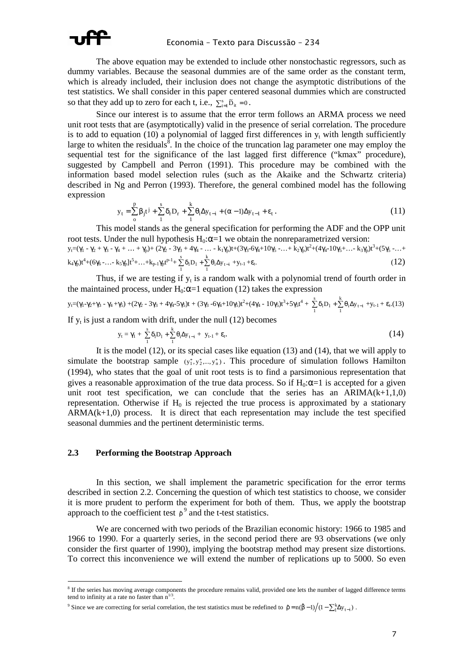

The above equation may be extended to include other nonstochastic regressors, such as dummy variables. Because the seasonal dummies are of the same order as the constant term, which is already included, their inclusion does not change the asymptotic distributions of the test statistics. We shall consider in this paper centered seasonal dummies which are constructed so that they add up to zero for each t, i.e.,  $\sum_{i=1}^{s} \tilde{D}_{it} = 0$ .

Since our interest is to assume that the error term follows an ARMA process we need unit root tests that are (asymptotically) valid in the presence of serial correlation. The procedure is to add to equation (10) a polynomial of lagged first differences in  $y_t$  with length sufficiently large to whiten the residuals $\delta$ . In the choice of the truncation lag parameter one may employ the sequential test for the significance of the last lagged first difference ("kmax" procedure), suggested by Campbell and Perron (1991). This procedure may be combined with the information based model selection rules (such as the Akaike and the Schwartz criteria) described in Ng and Perron (1993). Therefore, the general combined model has the following expression

$$
y_{t} = \sum_{0}^{p} \beta_{j} t^{j} + \sum_{1}^{s} \delta_{r} D_{r} + \sum_{1}^{k} \theta_{i} \Delta y_{t-i} + (\alpha - 1) \Delta y_{t-1} + \varepsilon_{t}.
$$
 (11)

This model stands as the general specification for performing the ADF and the OPP unit root tests. Under the null hypothesis  $H_0$ : $\alpha$ =1 we obtain the nonreparametrized version:

$$
y_{t} = (\gamma_{1} - \gamma_{2} + \gamma_{3} - \gamma_{4} + \dots + \gamma_{p}) + (2\gamma_{2} - 3\gamma_{3} + 4\gamma_{4} - \dots - k_{1}\gamma_{p})t + (3\gamma_{3} - 6\gamma_{4} + 10\gamma_{5} - \dots + k_{2}\gamma_{p})t^{2} + (4\gamma_{4} - 10\gamma_{5} + \dots - k_{3}\gamma_{p})t^{3} + (5\gamma_{5} - \dots + k_{4}\gamma_{p})t^{4} + (6\gamma_{6} - \dots - k_{5}\gamma_{p})t^{5} + \dots + k_{p-1}\gamma_{p}t^{p-1} + \sum_{i=1}^{k} \delta_{i}\Delta_{y_{t-i}} + y_{t-1} + \epsilon_{t}.
$$
\n(12)

Thus, if we are testing if  $y_t$  is a random walk with a polynomial trend of fourth order in the maintained process, under  $H_0$ : $\alpha$ =1 equation (12) takes the expression

$$
y_{t}=(\gamma_{1} - \gamma_{2} + \gamma_{3} - \gamma_{4} + \gamma_{5}) + (2\gamma_{2} - 3\gamma_{3} + 4\gamma_{4} - 5\gamma_{5})t + (3\gamma_{3} - 6\gamma_{4} + 10\gamma_{5})t^{2} + (4\gamma_{4} - 10\gamma_{5})t^{3} + 5\gamma_{5}t^{4} + \sum_{1}^{s} \delta_{1}D_{1} + \sum_{1}^{k} \theta_{i}\Delta y_{t-i} + y_{t-1} + \epsilon_{t}.(13)
$$

If  $y_t$  is just a random with drift, under the null (12) becomes

1

1

$$
y_{t} = \gamma_{1} + \sum_{1}^{s} \delta_{1} D_{1} + \sum_{1}^{k} \theta_{i} \Delta y_{t-i} + y_{t-1} + \varepsilon_{t}.
$$
 (14)

It is the model (12), or its special cases like equation (13) and (14), that we will apply to simulate the bootstrap sample  $(y_1^*, y_2^*,..., y_n^*)$ . This procedure of simulation follows Hamilton (1994), who states that the goal of unit root tests is to find a parsimonious representation that gives a reasonable approximation of the true data process. So if  $H_0$ : $\alpha$ =1 is accepted for a given unit root test specification, we can conclude that the series has an  $ARIMA(k+1,1,0)$ representation. Otherwise if  $H_0$  is rejected the true process is approximated by a stationary  $ARMA(k+1,0)$  process. It is direct that each representation may include the test specified seasonal dummies and the pertinent deterministic terms.

#### **2.3 Performing the Bootstrap Approach**

ł

In this section, we shall implement the parametric specification for the error terms described in section 2.2. Concerning the question of which test statistics to choose, we consider it is more prudent to perform the experiment for both of them. Thus, we apply the bootstrap approach to the coefficient test  $\rho^9$  and the t-test statistics.

We are concerned with two periods of the Brazilian economic history: 1966 to 1985 and 1966 to 1990. For a quarterly series, in the second period there are 93 observations (we only consider the first quarter of 1990), implying the bootstrap method may present size distortions. To correct this inconvenience we will extend the number of replications up to 5000. So even

<sup>&</sup>lt;sup>8</sup> If the series has moving average components the procedure remains valid, provided one lets the number of lagged difference terms tend to infinity at a rate no faster than  $n^{1/3}$ .

<sup>&</sup>lt;sup>9</sup> Since we are correcting for serial correlation, the test statistics must be redefined to  $\rho = n(\beta - 1)/(1 - \sum_{i=1}^{k} \Delta y_{t-i})$ .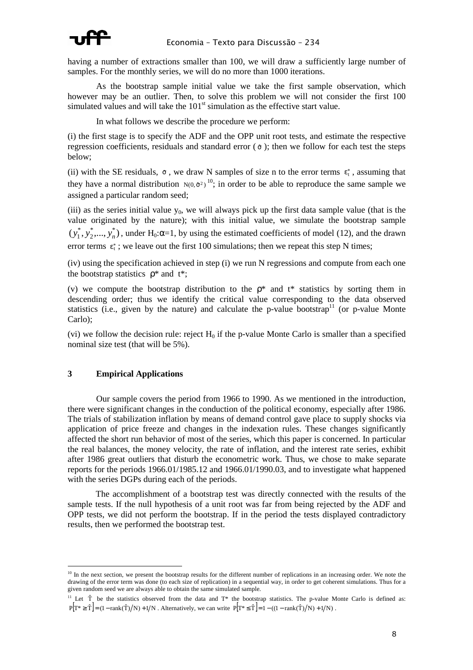

having a number of extractions smaller than 100, we will draw a sufficiently large number of samples. For the monthly series, we will do no more than 1000 iterations.

As the bootstrap sample initial value we take the first sample observation, which however may be an outlier. Then, to solve this problem we will not consider the first 100 simulated values and will take the  $101<sup>st</sup>$  simulation as the effective start value.

In what follows we describe the procedure we perform:

(i) the first stage is to specify the ADF and the OPP unit root tests, and estimate the respective regression coefficients, residuals and standard error ( $\sigma$ ); then we follow for each test the steps below;

(ii) with the SE residuals,  $\sigma$ , we draw N samples of size n to the error terms  $\varepsilon_t^*$ , assuming that they have a normal distribution  $N(0, \sigma^2)^{10}$ ; in order to be able to reproduce the same sample we assigned a particular random seed;

(iii) as the series initial value  $y_0$ , we will always pick up the first data sample value (that is the value originated by the nature); with this initial value, we simulate the bootstrap sample  $(y_1^*, y_2^*,..., y_n^*)$ 2 \*  $y_1^*, y_2^*,..., y_n^*$ ), under H<sub>0</sub>: $\alpha$ =1, by using the estimated coefficients of model (12), and the drawn error terms  $\varepsilon_t^*$ ; we leave out the first 100 simulations; then we repeat this step N times;

(iv) using the specification achieved in step (i) we run N regressions and compute from each one the bootstrap statistics  $\rho^*$  and  $t^*$ ;

(v) we compute the bootstrap distribution to the  $\rho^*$  and  $t^*$  statistics by sorting them in descending order; thus we identify the critical value corresponding to the data observed statistics (i.e., given by the nature) and calculate the p-value bootstrap<sup>11</sup> (or p-value Monte Carlo);

(vi) we follow the decision rule: reject  $H_0$  if the p-value Monte Carlo is smaller than a specified nominal size test (that will be 5%).

#### **3 Empirical Applications**

i.

Our sample covers the period from 1966 to 1990. As we mentioned in the introduction, there were significant changes in the conduction of the political economy, especially after 1986. The trials of stabilization inflation by means of demand control gave place to supply shocks via application of price freeze and changes in the indexation rules. These changes significantly affected the short run behavior of most of the series, which this paper is concerned. In particular the real balances, the money velocity, the rate of inflation, and the interest rate series, exhibit after 1986 great outliers that disturb the econometric work. Thus, we chose to make separate reports for the periods 1966.01/1985.12 and 1966.01/1990.03, and to investigate what happened with the series DGPs during each of the periods.

 The accomplishment of a bootstrap test was directly connected with the results of the sample tests. If the null hypothesis of a unit root was far from being rejected by the ADF and OPP tests, we did not perform the bootstrap. If in the period the tests displayed contradictory results, then we performed the bootstrap test.

 $10$  In the next section, we present the bootstrap results for the different number of replications in an increasing order. We note the drawing of the error term was done (to each size of replication) in a sequential way, in order to get coherent simulations. Thus for a given random seed we are always able to obtain the same simulated sample.

<sup>&</sup>lt;sup>11</sup> Let  $\hat{T}$  be the statistics observed from the data and  $T^*$  the bootstrap statistics. The p-value Monte Carlo is defined as:  $P[T^* \geq \hat{T}] = (1 - \text{rank}(\hat{T})/N) + 1/N$ . Alternatively, we can write  $P[T^* \leq \hat{T}] = 1 - ((1 - \text{rank}(\hat{T})/N) + 1/N)$ .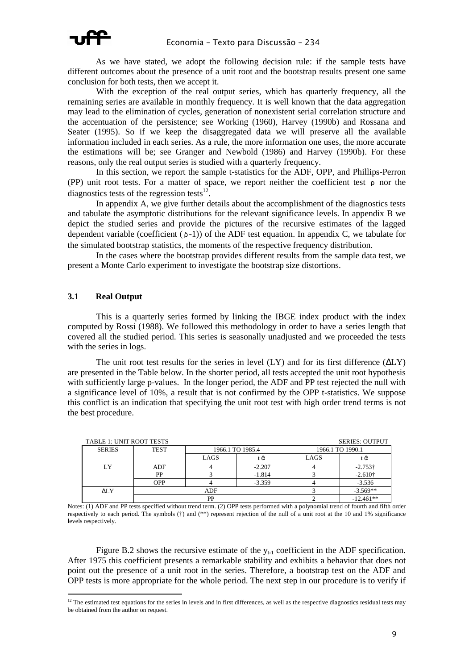As we have stated, we adopt the following decision rule: if the sample tests have different outcomes about the presence of a unit root and the bootstrap results present one same conclusion for both tests, then we accept it.

With the exception of the real output series, which has quarterly frequency, all the remaining series are available in monthly frequency. It is well known that the data aggregation may lead to the elimination of cycles, generation of nonexistent serial correlation structure and the accentuation of the persistence; see Working (1960), Harvey (1990b) and Rossana and Seater (1995). So if we keep the disaggregated data we will preserve all the available information included in each series. As a rule, the more information one uses, the more accurate the estimations will be; see Granger and Newbold (1986) and Harvey (1990b). For these reasons, only the real output series is studied with a quarterly frequency.

In this section, we report the sample t-statistics for the ADF, OPP, and Phillips-Perron (PP) unit root tests. For a matter of space, we report neither the coefficient test  $\rho$  nor the diagnostics tests of the regression tests $^{12}$ .

In appendix A, we give further details about the accomplishment of the diagnostics tests and tabulate the asymptotic distributions for the relevant significance levels. In appendix B we depict the studied series and provide the pictures of the recursive estimates of the lagged dependent variable (coefficient  $(\rho -1)$ ) of the ADF test equation. In appendix C, we tabulate for the simulated bootstrap statistics, the moments of the respective frequency distribution.

In the cases where the bootstrap provides different results from the sample data test, we present a Monte Carlo experiment to investigate the bootstrap size distortions.

#### **3.1 Real Output**

ł

This is a quarterly series formed by linking the IBGE index product with the index computed by Rossi (1988). We followed this methodology in order to have a series length that covered all the studied period. This series is seasonally unadjusted and we proceeded the tests with the series in logs.

The unit root test results for the series in level  $(LY)$  and for its first difference  $(\Delta LY)$ are presented in the Table below. In the shorter period, all tests accepted the unit root hypothesis with sufficiently large p-values. In the longer period, the ADF and PP test rejected the null with a significance level of 10%, a result that is not confirmed by the OPP t-statistics. We suppose this conflict is an indication that specifying the unit root test with high order trend terms is not the best procedure.

| <b>TABLE 1: UNIT ROOT TESTS</b> |             |                  |          |                  | <b>SERIES: OUTPUT</b> |
|---------------------------------|-------------|------------------|----------|------------------|-----------------------|
| <b>SERIES</b>                   | <b>TEST</b> | 1966.1 TO 1985.4 |          | 1966.1 TO 1990.1 |                       |
|                                 |             | LAGS             | tα       | LAGS             | ι α                   |
| LY                              | ADF         |                  | $-2.207$ |                  | $-2.753\dagger$       |
|                                 | PP          | $-1.814$         |          |                  | $-2.610+$             |
|                                 | OPP         |                  | $-3.359$ |                  | $-3.536$              |
| ALY                             |             | ADF              |          | $-3.569**$       |                       |
|                                 |             | DD               |          |                  | $-12.461**$           |

Notes: (1) ADF and PP tests specified without trend term. (2) OPP tests performed with a polynomial trend of fourth and fifth order respectively to each period. The symbols (†) and (\*\*) represent rejection of the null of a unit root at the 10 and 1% significance levels respectively.

Figure B.2 shows the recursive estimate of the  $y_{t-1}$  coefficient in the ADF specification. After 1975 this coefficient presents a remarkable stability and exhibits a behavior that does not point out the presence of a unit root in the series. Therefore, a bootstrap test on the ADF and OPP tests is more appropriate for the whole period. The next step in our procedure is to verify if

 $12$  The estimated test equations for the series in levels and in first differences, as well as the respective diagnostics residual tests may be obtained from the author on request.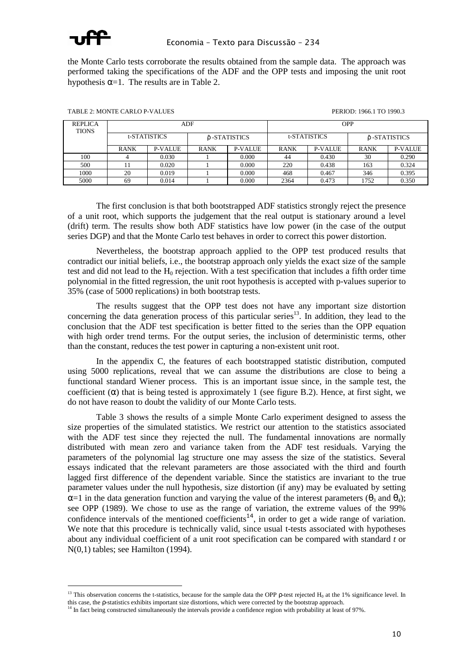

ł

the Monte Carlo tests corroborate the results obtained from the sample data. The approach was performed taking the specifications of the ADF and the OPP tests and imposing the unit root hypothesis  $\alpha=1$ . The results are in Table 2.

| <b>REPLICA</b><br><b>TIONS</b> |              |                | ADF           |                | <b>OPP</b>          |                |               |                |  |
|--------------------------------|--------------|----------------|---------------|----------------|---------------------|----------------|---------------|----------------|--|
|                                | t-STATISTICS |                | δ -STATISTICS |                | <b>t-STATISTICS</b> |                | δ -STATISTICS |                |  |
|                                | <b>RANK</b>  | <b>P-VALUE</b> | <b>RANK</b>   | <b>P-VALUE</b> | <b>RANK</b>         | <b>P-VALUE</b> | <b>RANK</b>   | <b>P-VALUE</b> |  |
| 100                            |              | 0.030          |               | 0.000          | 44                  | 0.430          | 30            | 0.290          |  |
| 500                            |              | 0.020          |               | 0.000          | 220                 | 0.438          | 163           | 0.324          |  |
| 1000                           | 20           | 0.019          |               | 0.000          | 468                 | 0.467          | 346           | 0.395          |  |
| 5000                           | 69           | 0.014          |               | 0.000          | 2364                | 0.473          | 1752          | 0.350          |  |

TABLE 2: MONTE CARLO P-VALUES PERIOD: 1966.1 TO 1990.3

The first conclusion is that both bootstrapped ADF statistics strongly reject the presence of a unit root, which supports the judgement that the real output is stationary around a level (drift) term. The results show both ADF statistics have low power (in the case of the output series DGP) and that the Monte Carlo test behaves in order to correct this power distortion.

Nevertheless, the bootstrap approach applied to the OPP test produced results that contradict our initial beliefs, i.e., the bootstrap approach only yields the exact size of the sample test and did not lead to the  $H_0$  rejection. With a test specification that includes a fifth order time polynomial in the fitted regression, the unit root hypothesis is accepted with p-values superior to 35% (case of 5000 replications) in both bootstrap tests.

The results suggest that the OPP test does not have any important size distortion concerning the data generation process of this particular series $13$ . In addition, they lead to the conclusion that the ADF test specification is better fitted to the series than the OPP equation with high order trend terms. For the output series, the inclusion of deterministic terms, other than the constant, reduces the test power in capturing a non-existent unit root.

In the appendix C, the features of each bootstrapped statistic distribution, computed using 5000 replications, reveal that we can assume the distributions are close to being a functional standard Wiener process. This is an important issue since, in the sample test, the coefficient  $(\alpha)$  that is being tested is approximately 1 (see figure B.2). Hence, at first sight, we do not have reason to doubt the validity of our Monte Carlo tests.

Table 3 shows the results of a simple Monte Carlo experiment designed to assess the size properties of the simulated statistics. We restrict our attention to the statistics associated with the ADF test since they rejected the null. The fundamental innovations are normally distributed with mean zero and variance taken from the ADF test residuals. Varying the parameters of the polynomial lag structure one may assess the size of the statistics. Several essays indicated that the relevant parameters are those associated with the third and fourth lagged first difference of the dependent variable. Since the statistics are invariant to the true parameter values under the null hypothesis, size distortion (if any) may be evaluated by setting  $\alpha=1$  in the data generation function and varying the value of the interest parameters ( $\theta_3$  and  $\theta_4$ ); see OPP (1989). We chose to use as the range of variation, the extreme values of the 99% confidence intervals of the mentioned coefficients<sup>14</sup>, in order to get a wide range of variation. We note that this procedure is technically valid, since usual t-tests associated with hypotheses about any individual coefficient of a unit root specification can be compared with standard *t* or N(0,1) tables; see Hamilton (1994).

<sup>&</sup>lt;sup>13</sup> This observation concerns the t-statistics, because for the sample data the OPP *p*-test rejected  $H_0$  at the 1% significance level. In

this case, the  $\rho$ -statistics exhibits important size distortions, which were corrected by the bootstrap approach.<br><sup>14</sup> In fact being constructed simultaneously the intervals provide a confidence region with probability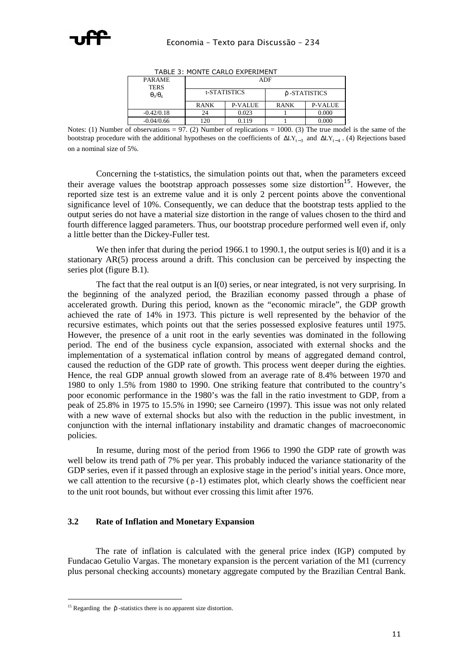| TADLE 3. MUNTE CARLU LAPLRIMENT |             |              |              |                |  |  |  |  |
|---------------------------------|-------------|--------------|--------------|----------------|--|--|--|--|
| <b>PARAME</b><br><b>TERS</b>    | ADF         |              |              |                |  |  |  |  |
| $\theta_3/\theta_4$             |             | t-STATISTICS | δ-STATISTICS |                |  |  |  |  |
|                                 | <b>RANK</b> | P-VALUE      | <b>RANK</b>  | <b>P-VALUE</b> |  |  |  |  |
| $-0.42/0.18$                    | 24          | 0.023        |              | 0.000          |  |  |  |  |
| $-0.04/0.66$                    | 20          | 0.119        |              | 0.000          |  |  |  |  |
|                                 |             |              |              |                |  |  |  |  |

TABLE 3: MONTE CARLO EXPERIMENT

Notes: (1) Number of observations = 97. (2) Number of replications = 1000. (3) The true model is the same of the bootstrap procedure with the additional hypotheses on the coefficients of  $\Delta LY_{t-3}$  and  $\Delta LY_{t-4}$ . (4) Rejections based on a nominal size of 5%.

Concerning the t-statistics, the simulation points out that, when the parameters exceed their average values the bootstrap approach possesses some size distortion<sup>15</sup>. However, the reported size test is an extreme value and it is only 2 percent points above the conventional significance level of 10%. Consequently, we can deduce that the bootstrap tests applied to the output series do not have a material size distortion in the range of values chosen to the third and fourth difference lagged parameters. Thus, our bootstrap procedure performed well even if, only a little better than the Dickey-Fuller test.

We then infer that during the period 1966.1 to 1990.1, the output series is I(0) and it is a stationary AR(5) process around a drift. This conclusion can be perceived by inspecting the series plot (figure B.1).

The fact that the real output is an I(0) series, or near integrated, is not very surprising. In the beginning of the analyzed period, the Brazilian economy passed through a phase of accelerated growth. During this period, known as the "economic miracle", the GDP growth achieved the rate of 14% in 1973. This picture is well represented by the behavior of the recursive estimates, which points out that the series possessed explosive features until 1975. However, the presence of a unit root in the early seventies was dominated in the following period. The end of the business cycle expansion, associated with external shocks and the implementation of a systematical inflation control by means of aggregated demand control, caused the reduction of the GDP rate of growth. This process went deeper during the eighties. Hence, the real GDP annual growth slowed from an average rate of 8.4% between 1970 and 1980 to only 1.5% from 1980 to 1990. One striking feature that contributed to the country's poor economic performance in the 1980's was the fall in the ratio investment to GDP, from a peak of 25.8% in 1975 to 15.5% in 1990; see Carneiro (1997). This issue was not only related with a new wave of external shocks but also with the reduction in the public investment, in conjunction with the internal inflationary instability and dramatic changes of macroeconomic policies.

In resume, during most of the period from 1966 to 1990 the GDP rate of growth was well below its trend path of 7% per year. This probably induced the variance stationarity of the GDP series, even if it passed through an explosive stage in the period's initial years. Once more, we call attention to the recursive ( $\rho$ -1) estimates plot, which clearly shows the coefficient near to the unit root bounds, but without ever crossing this limit after 1976.

### **3.2 Rate of Inflation and Monetary Expansion**

 The rate of inflation is calculated with the general price index (IGP) computed by Fundacao Getulio Vargas. The monetary expansion is the percent variation of the M1 (currency plus personal checking accounts) monetary aggregate computed by the Brazilian Central Bank.

ł

<sup>&</sup>lt;sup>15</sup> Regarding the  $\hat{p}$  -statistics there is no apparent size distortion.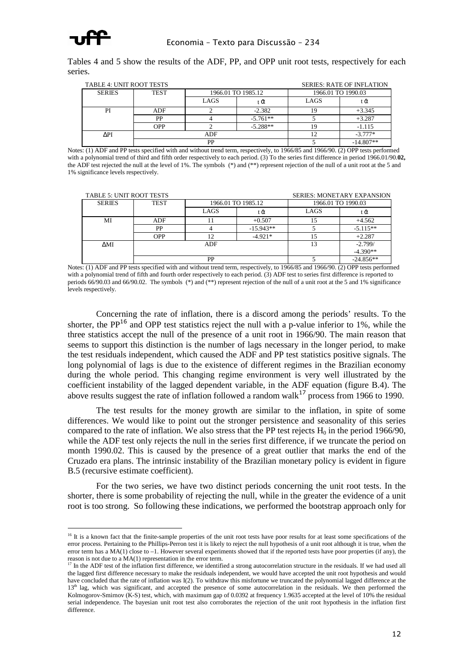

ł

Tables 4 and 5 show the results of the ADF, PP, and OPP unit root tests, respectively for each series.

|               | <b>TABLE 4: UNIT ROOT TESTS</b><br><b>SERIES: RATE OF INFLATION</b> |                    |            |                    |             |  |  |  |
|---------------|---------------------------------------------------------------------|--------------------|------------|--------------------|-------------|--|--|--|
| <b>SERIES</b> | <b>TEST</b>                                                         | 1966.01 TO 1985.12 |            | 1966.01 TO 1990.03 |             |  |  |  |
|               |                                                                     | LAGS               | tα         | LAGS               | tα          |  |  |  |
| PI            | ADF                                                                 |                    | $-2.382$   |                    | $+3.345$    |  |  |  |
|               | PP                                                                  |                    | $-5.761**$ |                    | $+3.287$    |  |  |  |
|               | <b>OPP</b>                                                          |                    | $-5.288**$ |                    | $-1.115$    |  |  |  |
| ΛPI           | ADF                                                                 |                    |            |                    | $-3.777*$   |  |  |  |
|               |                                                                     | PP                 |            |                    | $-14.807**$ |  |  |  |

Notes: (1) ADF and PP tests specified with and without trend term, respectively, to 1966/85 and 1966/90. (2) OPP tests performed with a polynomial trend of third and fifth order respectively to each period. (3) To the series first difference in period 1966.01/90.**02,** the ADF test rejected the null at the level of 1%. The symbols (\*) and (\*\*) represent rejection of the null of a unit root at the 5 and 1% significance levels respectively.

| <b>TABLE 5: UNIT ROOT TESTS</b> |             |                    | <b>SERIES: MONETARY EXPANSION</b> |      |                    |
|---------------------------------|-------------|--------------------|-----------------------------------|------|--------------------|
| <b>SERIES</b>                   | <b>TEST</b> | 1966.01 TO 1985.12 |                                   |      | 1966.01 TO 1990.03 |
|                                 |             | LAGS               | tά                                | LAGS | tα                 |
| МI                              | ADF         |                    | $+0.507$                          |      | $+4.562$           |
|                                 | PP          |                    | $-15.943**$                       |      | $-5.115**$         |
|                                 | <b>OPP</b>  |                    | $-4.921*$                         | 15   | $+2.287$           |
| <b>AMI</b>                      | <b>ADF</b>  |                    |                                   | 13   | $-2.799/$          |
|                                 |             |                    |                                   |      | $-4.390**$         |
|                                 |             | PP                 |                                   |      | $-24.856**$        |

Notes: (1) ADF and PP tests specified with and without trend term, respectively, to 1966/85 and 1966/90. (2) OPP tests performed with a polynomial trend of fifth and fourth order respectively to each period. (3) ADF test to series first difference is reported to periods 66/90.03 and 66/90.02. The symbols  $(*)$  and  $(**)$  represent rejection of the null of a unit root at the 5 and 1% significance levels respectively.

Concerning the rate of inflation, there is a discord among the periods' results. To the shorter, the  $PP^{16}$  and OPP test statistics reject the null with a p-value inferior to 1%, while the three statistics accept the null of the presence of a unit root in 1966/90. The main reason that seems to support this distinction is the number of lags necessary in the longer period, to make the test residuals independent, which caused the ADF and PP test statistics positive signals. The long polynomial of lags is due to the existence of different regimes in the Brazilian economy during the whole period. This changing regime environment is very well illustrated by the coefficient instability of the lagged dependent variable, in the ADF equation (figure B.4). The above results suggest the rate of inflation followed a random walk<sup>17</sup> process from 1966 to 1990.

The test results for the money growth are similar to the inflation, in spite of some differences. We would like to point out the stronger persistence and seasonality of this series compared to the rate of inflation. We also stress that the PP test rejects  $H_0$  in the period 1966/90, while the ADF test only rejects the null in the series first difference, if we truncate the period on month 1990.02. This is caused by the presence of a great outlier that marks the end of the Cruzado era plans. The intrinsic instability of the Brazilian monetary policy is evident in figure B.5 (recursive estimate coefficient).

For the two series, we have two distinct periods concerning the unit root tests. In the shorter, there is some probability of rejecting the null, while in the greater the evidence of a unit root is too strong. So following these indications, we performed the bootstrap approach only for

<sup>&</sup>lt;sup>16</sup> It is a known fact that the finite-sample properties of the unit root tests have poor results for at least some specifications of the error process. Pertaining to the Phillips-Perron test it is likely to reject the null hypothesis of a unit root although it is true, when the error term has a MA(1) close to –1. However several experiments showed that if the reported tests have poor properties (if any), the reason is not due to a MA(1) representation in the error term.<br><sup>17</sup> In the ADE i.

<sup>17</sup> In the ADF test of the inflation first difference, we identified a strong autocorrelation structure in the residuals. If we had used all the lagged first difference necessary to make the residuals independent, we would have accepted the unit root hypothesis and would have concluded that the rate of inflation was I(2). To withdraw this misfortune we truncated the polynomial lagged difference at the 13<sup>th</sup> lag, which was significant, and accepted the presence of some autocorrelation in the residuals. We then performed the Kolmogorov-Smirnov (K-S) test, which, with maximum gap of 0.0392 at frequency 1.9635 accepted at the level of 10% the residual serial independence. The bayesian unit root test also corroborates the rejection of the unit root hypothesis in the inflation first difference.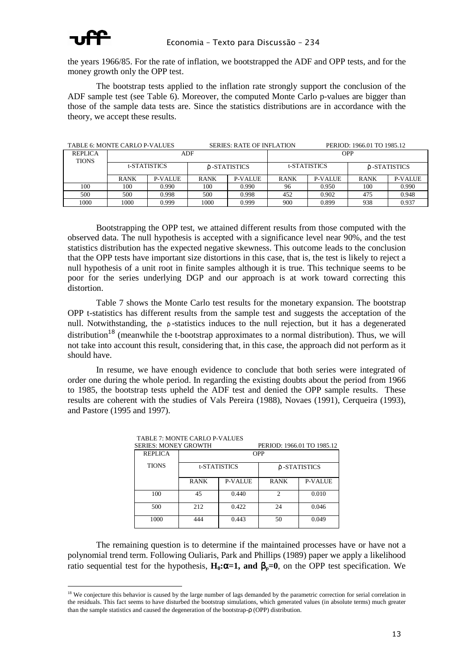

the years 1966/85. For the rate of inflation, we bootstrapped the ADF and OPP tests, and for the money growth only the OPP test.

The bootstrap tests applied to the inflation rate strongly support the conclusion of the ADF sample test (see Table 6). Moreover, the computed Monte Carlo p-values are bigger than those of the sample data tests are. Since the statistics distributions are in accordance with the theory, we accept these results.

| TABLE 6: MONTE CARLO P-VALUES |              |                |             | <b>SERIES: RATE OF INFLATION</b> |             |                     | PERIOD: 1966.01 TO 1985.12 |                |  |
|-------------------------------|--------------|----------------|-------------|----------------------------------|-------------|---------------------|----------------------------|----------------|--|
| <b>REPLICA</b>                |              |                | ADF         |                                  | <b>OPP</b>  |                     |                            |                |  |
| <b>TIONS</b>                  |              |                |             |                                  |             |                     |                            |                |  |
|                               | t-STATISTICS |                |             | δ-STATISTICS                     |             | <b>t-STATISTICS</b> |                            | ô -STATISTICS  |  |
|                               | <b>RANK</b>  | <b>P-VALUE</b> | <b>RANK</b> | P-VALUE                          | <b>RANK</b> | P-VALUE             | <b>RANK</b>                | <b>P-VALUE</b> |  |
| 100                           | 100          | 0.990          | 100         | 0.990                            | 96          | 0.950               | 100                        | 0.990          |  |
| 500                           | 500          | 0.998          | 500         | 0.998                            | 452         | 0.902               | 475                        | 0.948          |  |
| 1000                          | 1000         | 0.999          | 1000        | 0.999                            | 900         | 0.899               | 938                        | 0.937          |  |

Bootstrapping the OPP test, we attained different results from those computed with the observed data. The null hypothesis is accepted with a significance level near 90%, and the test statistics distribution has the expected negative skewness. This outcome leads to the conclusion that the OPP tests have important size distortions in this case, that is, the test is likely to reject a null hypothesis of a unit root in finite samples although it is true. This technique seems to be poor for the series underlying DGP and our approach is at work toward correcting this distortion.

Table 7 shows the Monte Carlo test results for the monetary expansion. The bootstrap OPP t*-*statistics has different results from the sample test and suggests the acceptation of the null. Notwithstanding, the ρ-statistics induces to the null rejection, but it has a degenerated distribution<sup>18</sup> (meanwhile the t-bootstrap approximates to a normal distribution). Thus, we will not take into account this result, considering that, in this case, the approach did not perform as it should have.

In resume, we have enough evidence to conclude that both series were integrated of order one during the whole period. In regarding the existing doubts about the period from 1966 to 1985, the bootstrap tests upheld the ADF test and denied the OPP sample results. These results are coherent with the studies of Vals Pereira (1988), Novaes (1991), Cerqueira (1993), and Pastore (1995 and 1997).

| <b>SERIES: MONEY GROWTH</b> |              |         | PERIOD: 1966.01 TO 1985.12  |                |  |
|-----------------------------|--------------|---------|-----------------------------|----------------|--|
| <b>REPLICA</b>              |              |         | <b>OPP</b>                  |                |  |
| <b>TIONS</b>                | t-STATISTICS |         | δ -STATISTICS               |                |  |
|                             | <b>RANK</b>  | P-VALUE | <b>RANK</b>                 | <b>P-VALUE</b> |  |
| 100                         | 45           | 0.440   | $\mathcal{D}_{\mathcal{L}}$ | 0.010          |  |
| 500                         | 212          | 0.422   | 24                          | 0.046          |  |
| 1000                        | 444          | 0.443   | 50                          | 0.049          |  |

TABLE 7: MONTE CARLO P-VALUES

The remaining question is to determine if the maintained processes have or have not a polynomial trend term. Following Ouliaris, Park and Phillips (1989) paper we apply a likelihood ratio sequential test for the hypothesis,  $H_0$ : $\alpha$ =1, and  $\beta_n$ =0, on the OPP test specification. We

ł <sup>18</sup> We conjecture this behavior is caused by the large number of lags demanded by the parametric correction for serial correlation in the residuals. This fact seems to have disturbed the bootstrap simulations, which generated values (in absolute terms) much greater than the sample statistics and caused the degeneration of the bootstrap-ρ (OPP) distribution.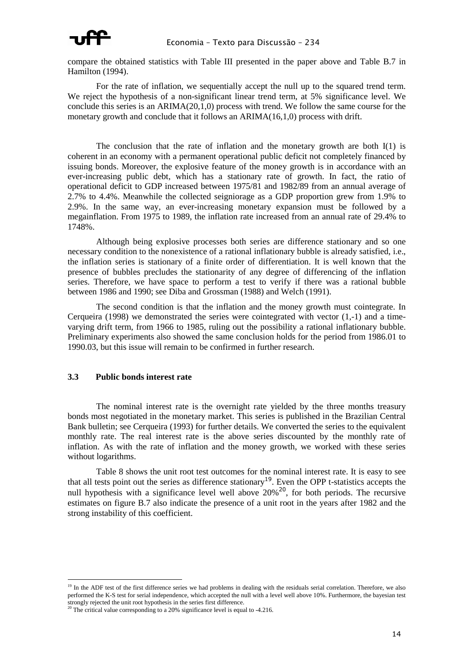

compare the obtained statistics with Table III presented in the paper above and Table B.7 in Hamilton (1994).

For the rate of inflation, we sequentially accept the null up to the squared trend term. We reject the hypothesis of a non-significant linear trend term, at 5% significance level. We conclude this series is an ARIMA(20,1,0) process with trend. We follow the same course for the monetary growth and conclude that it follows an ARIMA(16,1,0) process with drift.

The conclusion that the rate of inflation and the monetary growth are both I(1) is coherent in an economy with a permanent operational public deficit not completely financed by issuing bonds. Moreover, the explosive feature of the money growth is in accordance with an ever-increasing public debt, which has a stationary rate of growth. In fact, the ratio of operational deficit to GDP increased between 1975/81 and 1982/89 from an annual average of 2.7% to 4.4%. Meanwhile the collected seigniorage as a GDP proportion grew from 1.9% to 2.9%. In the same way, an ever-increasing monetary expansion must be followed by a megainflation. From 1975 to 1989, the inflation rate increased from an annual rate of 29.4% to 1748%.

Although being explosive processes both series are difference stationary and so one necessary condition to the nonexistence of a rational inflationary bubble is already satisfied, i.e., the inflation series is stationary of a finite order of differentiation. It is well known that the presence of bubbles precludes the stationarity of any degree of differencing of the inflation series. Therefore, we have space to perform a test to verify if there was a rational bubble between 1986 and 1990; see Diba and Grossman (1988) and Welch (1991).

The second condition is that the inflation and the money growth must cointegrate. In Cerqueira (1998) we demonstrated the series were cointegrated with vector  $(1,-1)$  and a timevarying drift term, from 1966 to 1985, ruling out the possibility a rational inflationary bubble. Preliminary experiments also showed the same conclusion holds for the period from 1986.01 to 1990.03, but this issue will remain to be confirmed in further research.

#### **3.3 Public bonds interest rate**

ł

The nominal interest rate is the overnight rate yielded by the three months treasury bonds most negotiated in the monetary market. This series is published in the Brazilian Central Bank bulletin; see Cerqueira (1993) for further details. We converted the series to the equivalent monthly rate. The real interest rate is the above series discounted by the monthly rate of inflation. As with the rate of inflation and the money growth, we worked with these series without logarithms.

Table 8 shows the unit root test outcomes for the nominal interest rate. It is easy to see that all tests point out the series as difference stationary<sup>19</sup>. Even the OPP t-statistics accepts the null hypothesis with a significance level well above  $20\%^{20}$ , for both periods. The recursive estimates on figure B.7 also indicate the presence of a unit root in the years after 1982 and the strong instability of this coefficient.

<sup>&</sup>lt;sup>19</sup> In the ADF test of the first difference series we had problems in dealing with the residuals serial correlation. Therefore, we also performed the K-S test for serial independence, which accepted the null with a level well above 10%. Furthermore, the bayesian test

strongly rejected the unit root hypothesis in the series first difference.<br><sup>20</sup> The critical value corresponding to a 20% significance level is equal to -4.216.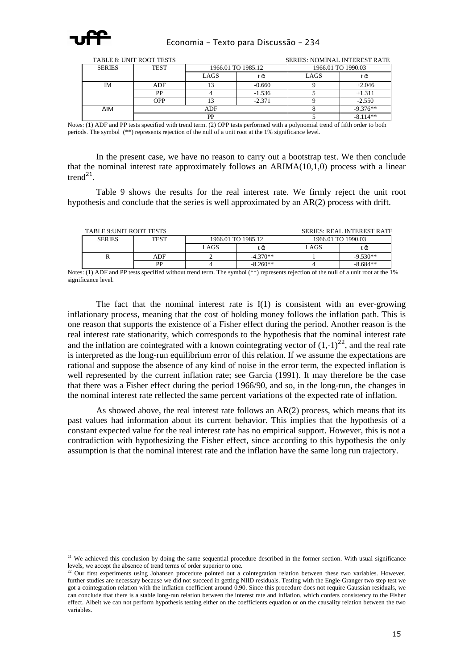

|                | <b>TABLE 8: UNIT ROOT TESTS</b> |                    | <b>SERIES: NOMINAL INTEREST RATE</b> |      |                    |  |  |
|----------------|---------------------------------|--------------------|--------------------------------------|------|--------------------|--|--|
| <b>SERIES</b>  | <b>TEST</b>                     | 1966.01 TO 1985.12 |                                      |      | 1966.01 TO 1990.03 |  |  |
|                |                                 | LAGS               | tα                                   | LAGS | tα                 |  |  |
| IΜ             | ADF                             |                    | $-0.660$                             |      | $+2.046$           |  |  |
|                | РP                              |                    | $-1.536$                             |      | $+1.311$           |  |  |
|                | OPP                             |                    | $-2.371$                             |      | $-2.550$           |  |  |
| $\triangle$ IM | <b>ADF</b>                      |                    |                                      |      | $-9.376**$         |  |  |
|                |                                 | РP                 |                                      |      | $-8.114**$         |  |  |

Notes: (1) ADF and PP tests specified with trend term. (2) OPP tests performed with a polynomial trend of fifth order to both periods. The symbol (\*\*) represents rejection of the null of a unit root at the 1% significance level.

In the present case, we have no reason to carry out a bootstrap test. We then conclude that the nominal interest rate approximately follows an  $ARIMA(10,1,0)$  process with a linear trend<sup>21</sup>.

Table 9 shows the results for the real interest rate. We firmly reject the unit root hypothesis and conclude that the series is well approximated by an AR(2) process with drift.

| <b>TABLE 9: UNIT ROOT TESTS</b><br><b>SERIES: REAL INTEREST RATE</b> |             |                    |            |                    |            |  |  |  |
|----------------------------------------------------------------------|-------------|--------------------|------------|--------------------|------------|--|--|--|
| <b>SERIES</b>                                                        | <b>TEST</b> | 1966.01 TO 1985.12 |            | 1966.01 TO 1990.03 |            |  |  |  |
|                                                                      |             | LAGS               | tᾶ         | LAGS               | tα         |  |  |  |
|                                                                      | ADF         |                    | $-4.370**$ |                    | $-9.530**$ |  |  |  |
|                                                                      | PP          |                    | $-8.260**$ |                    | $-8.684**$ |  |  |  |

Notes: (1) ADF and PP tests specified without trend term. The symbol (\*\*) represents rejection of the null of a unit root at the 1% significance level.

The fact that the nominal interest rate is  $I(1)$  is consistent with an ever-growing inflationary process, meaning that the cost of holding money follows the inflation path. This is one reason that supports the existence of a Fisher effect during the period. Another reason is the real interest rate stationarity, which corresponds to the hypothesis that the nominal interest rate and the inflation are cointegrated with a known cointegrating vector of  $(1,-1)^{22}$ , and the real rate is interpreted as the long-run equilibrium error of this relation. If we assume the expectations are rational and suppose the absence of any kind of noise in the error term, the expected inflation is well represented by the current inflation rate; see Garcia (1991). It may therefore be the case that there was a Fisher effect during the period 1966/90, and so, in the long-run, the changes in the nominal interest rate reflected the same percent variations of the expected rate of inflation.

As showed above, the real interest rate follows an  $AR(2)$  process, which means that its past values had information about its current behavior. This implies that the hypothesis of a constant expected value for the real interest rate has no empirical support. However, this is not a contradiction with hypothesizing the Fisher effect, since according to this hypothesis the only assumption is that the nominal interest rate and the inflation have the same long run trajectory.

ł <sup>21</sup> We achieved this conclusion by doing the same sequential procedure described in the former section. With usual significance levels, we accept the absence of trend terms of order superior to one.

 $22$  Our first experiments using Johansen procedure pointed out a cointegration relation between these two variables. However, further studies are necessary because we did not succeed in getting NIID residuals. Testing with the Engle-Granger two step test we got a cointegration relation with the inflation coefficient around  $\tilde{0.90}$ . Since this procedure does not require Gaussian residuals, we can conclude that there is a stable long-run relation between the interest rate and inflation, which confers consistency to the Fisher effect. Albeit we can not perform hypothesis testing either on the coefficients equation or on the causality relation between the two variables.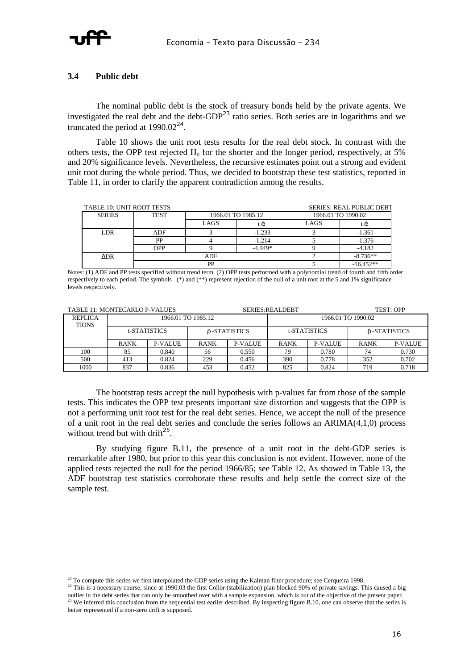

#### **3.4 Public debt**

 The nominal public debt is the stock of treasury bonds held by the private agents. We investigated the real debt and the debt-GDP<sup>23</sup> ratio series. Both series are in logarithms and we truncated the period at  $1990.02^{24}$ .

 Table 10 shows the unit root tests results for the real debt stock. In contrast with the others tests, the OPP test rejected  $H_0$  for the shorter and the longer period, respectively, at 5% and 20% significance levels. Nevertheless, the recursive estimates point out a strong and evident unit root during the whole period. Thus, we decided to bootstrap these test statistics, reported in Table 11, in order to clarify the apparent contradiction among the results.

|               | TABLE 10: UNIT ROOT TESTS<br><b>SERIES: REAL PUBLIC DEBT</b> |                    |           |      |                    |  |  |  |  |
|---------------|--------------------------------------------------------------|--------------------|-----------|------|--------------------|--|--|--|--|
| <b>SERIES</b> | <b>TEST</b>                                                  | 1966.01 TO 1985.12 |           |      | 1966.01 TO 1990.02 |  |  |  |  |
|               |                                                              | LAGS               | tά        | LAGS | tα                 |  |  |  |  |
| LDR.          | <b>ADF</b>                                                   |                    | $-1.233$  |      | $-1.361$           |  |  |  |  |
|               | PP                                                           |                    | $-1.214$  |      | $-1.376$           |  |  |  |  |
|               | OPP                                                          |                    | $-4.949*$ |      | $-4.182$           |  |  |  |  |
| ADR           |                                                              | ADF                |           |      | $-8.736**$         |  |  |  |  |
|               |                                                              | PP                 |           |      | $-16.452**$        |  |  |  |  |

Notes: (1) ADF and PP tests specified without trend term. (2) OPP tests performed with a polynomial trend of fourth and fifth order respectively to each period. The symbols (\*) and (\*\*) represent rejection of the null of a unit root at the 5 and 1% significance levels respectively.

| TABLE 11: MONTECARLO P-VALUES  |                    |         | <b>SERIES: REALDEBT</b> |                |                    |         | <b>TEST: OPP</b> |         |  |
|--------------------------------|--------------------|---------|-------------------------|----------------|--------------------|---------|------------------|---------|--|
| <b>REPLICA</b><br><b>TIONS</b> | 1966.01 TO 1985.12 |         |                         |                | 1966.01 TO 1990.02 |         |                  |         |  |
|                                | t-STATISTICS       |         | ô -STATISTICS           |                | t-STATISTICS       |         | ô -STATISTICS    |         |  |
|                                | <b>RANK</b>        | P-VALUE | <b>RANK</b>             | <b>P-VALUE</b> | <b>RANK</b>        | P-VALUE | <b>RANK</b>      | P-VALUE |  |
| 100                            | 85                 | 0.840   | 56                      | 0.550          | 79                 | 0.780   | 74               | 0.730   |  |
| 500                            | 413                | 0.824   | 229                     | 0.456          | 390                | 0.778   | 352              | 0.702   |  |
| 1000                           | 837                | 0.836   | 453                     | 0.452          | 825                | 0.824   | 719              | 0.718   |  |

The bootstrap tests accept the null hypothesis with p-values far from those of the sample tests. This indicates the OPP test presents important size distortion and suggests that the OPP is not a performing unit root test for the real debt series. Hence, we accept the null of the presence of a unit root in the real debt series and conclude the series follows an ARIMA(4,1,0) process without trend but with drift $^{25}$ .

By studying figure B.11, the presence of a unit root in the debt-GDP series is remarkable after 1980, but prior to this year this conclusion is not evident. However, none of the applied tests rejected the null for the period 1966/85; see Table 12. As showed in Table 13, the ADF bootstrap test statistics corroborate these results and help settle the correct size of the sample test.

ł  $23$  To compute this series we first interpolated the GDP series using the Kalman filter procedure; see Cerqueira 1998.

<sup>&</sup>lt;sup>24</sup> This is a necessary course, since at 1990.03 the first Collor (stabilization) plan blocked 90% of private savings. This caused a big outlier in the debt series that can only be smoothed over with a sample expansion, which is out of the objective of the present paper.  $25$  We inferred this conclusion from the sequential test earlier described. By inspecting figure B.10, one can observe that the series is better represented if a non-zero drift is supposed.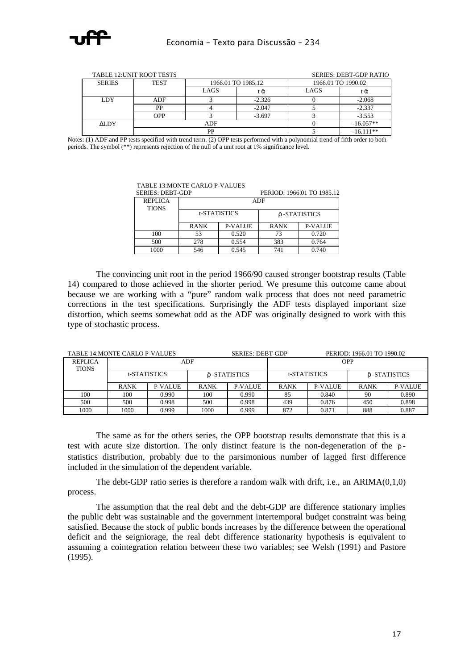

|               | TABLE 12: UNIT ROOT TESTS |                    | <b>SERIES: DEBT-GDP RATIO</b> |                    |             |
|---------------|---------------------------|--------------------|-------------------------------|--------------------|-------------|
| <b>SERIES</b> | <b>TEST</b>               | 1966.01 TO 1985.12 |                               | 1966.01 TO 1990.02 |             |
|               |                           | LAGS               | tα                            | LAGS               | ΕΩ          |
| LDY           | ADF                       |                    | $-2.326$                      |                    | $-2.068$    |
|               | PP                        |                    | $-2.047$                      |                    | $-2.337$    |
|               | OPP                       |                    | $-3.697$                      |                    | $-3.553$    |
| <b>ALDY</b>   | ADF                       |                    |                               |                    | $-16.057**$ |
|               |                           | DD                 |                               |                    | $-16.111**$ |

Notes: (1) ADF and PP tests specified with trend term. (2) OPP tests performed with a polynomial trend of fifth order to both periods. The symbol (\*\*) represents rejection of the null of a unit root at 1% significance level.

TABLE 13:MONTE CARLO P-VALUES

| SEKIES: DED I-UDP              |             |                |               | PERIOD: 1900.01 TO 1903.12 |  |
|--------------------------------|-------------|----------------|---------------|----------------------------|--|
| <b>REPLICA</b><br><b>TIONS</b> |             |                | <b>ADF</b>    |                            |  |
|                                |             | t-STATISTICS   | δ -STATISTICS |                            |  |
|                                | <b>RANK</b> | <b>P-VALUE</b> | <b>RANK</b>   | P-VALUE                    |  |
| 100                            | 53          | 0.520          | 73            | 0.720                      |  |
| 500                            | 278         | 0.554          | 383           | 0.764                      |  |
| 1000                           | 546         | 0.545          | 741           | 0.740                      |  |

BERIOD: 1066.01 TO 1095.12

The convincing unit root in the period 1966/90 caused stronger bootstrap results (Table 14) compared to those achieved in the shorter period. We presume this outcome came about because we are working with a "pure" random walk process that does not need parametric corrections in the test specifications. Surprisingly the ADF tests displayed important size distortion, which seems somewhat odd as the ADF was originally designed to work with this type of stochastic process.

| TABLE 14:MONTE CARLO P-VALUES |              |                |               | <b>SERIES: DEBT-GDP</b> |             |                     | PERIOD: 1966.01 TO 1990.02 |                |  |  |
|-------------------------------|--------------|----------------|---------------|-------------------------|-------------|---------------------|----------------------------|----------------|--|--|
| <b>REPLICA</b>                |              |                | ADF           |                         |             |                     | <b>OPP</b>                 |                |  |  |
| <b>TIONS</b>                  | t-STATISTICS |                | ô -STATISTICS |                         |             | <b>t-STATISTICS</b> |                            | ô -STATISTICS  |  |  |
|                               | <b>RANK</b>  | <b>P-VALUE</b> | <b>RANK</b>   | P-VALUE                 | <b>RANK</b> | <b>P-VALUE</b>      | <b>RANK</b>                | <b>P-VALUE</b> |  |  |
| 100                           | 100          | 0.990          | 100           | 0.990                   | 85          | 0.840               | 90                         | 0.890          |  |  |
| 500                           | 500          | 0.998          | 500           | 0.998                   | 439         | 0.876               | 450                        | 0.898          |  |  |
| 1000                          | 1000         | 0.999          | 1000          | 0.999                   | 872         | 0.871               | 888                        | 0.887          |  |  |

The same as for the others series, the OPP bootstrap results demonstrate that this is a test with acute size distortion. The only distinct feature is the non-degeneration of the  $\rho$ statistics distribution, probably due to the parsimonious number of lagged first difference included in the simulation of the dependent variable.

The debt-GDP ratio series is therefore a random walk with drift, i.e., an ARIMA(0,1,0) process.

The assumption that the real debt and the debt-GDP are difference stationary implies the public debt was sustainable and the government intertemporal budget constraint was being satisfied. Because the stock of public bonds increases by the difference between the operational deficit and the seigniorage, the real debt difference stationarity hypothesis is equivalent to assuming a cointegration relation between these two variables; see Welsh (1991) and Pastore (1995).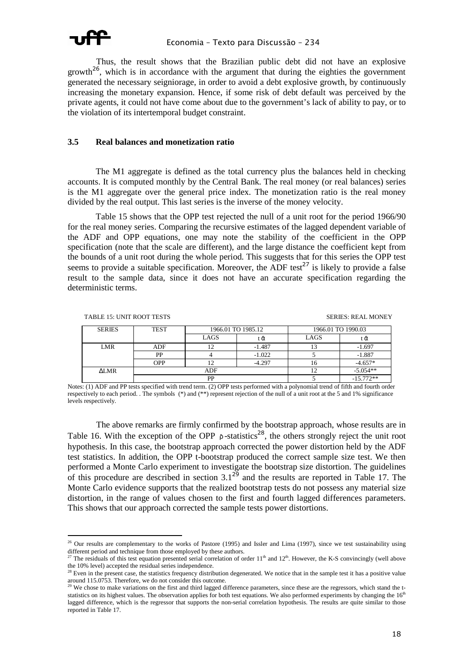

Thus, the result shows that the Brazilian public debt did not have an explosive growth<sup>26</sup>, which is in accordance with the argument that during the eighties the government generated the necessary seigniorage, in order to avoid a debt explosive growth, by continuously increasing the monetary expansion. Hence, if some risk of debt default was perceived by the private agents, it could not have come about due to the government's lack of ability to pay, or to the violation of its intertemporal budget constraint.

#### **3.5 Real balances and monetization ratio**

 The M1 aggregate is defined as the total currency plus the balances held in checking accounts. It is computed monthly by the Central Bank. The real money (or real balances) series is the M1 aggregate over the general price index. The monetization ratio is the real money divided by the real output. This last series is the inverse of the money velocity.

 Table 15 shows that the OPP test rejected the null of a unit root for the period 1966/90 for the real money series. Comparing the recursive estimates of the lagged dependent variable of the ADF and OPP equations, one may note the stability of the coefficient in the OPP specification (note that the scale are different), and the large distance the coefficient kept from the bounds of a unit root during the whole period. This suggests that for this series the OPP test seems to provide a suitable specification. Moreover, the ADF test<sup>27</sup> is likely to provide a false result to the sample data, since it does not have an accurate specification regarding the deterministic terms.

| <b>TABLE 15: UNIT ROOT TESTS</b> |
|----------------------------------|
|                                  |

**SERIES: REAL MONEY** 

| <b>SERIES</b>   | <b>TEST</b> | 1966.01 TO 1985.12 |          | 1966.01 TO 1990.03 |             |
|-----------------|-------------|--------------------|----------|--------------------|-------------|
|                 |             | LAGS               | ΞŬ       | LAGS               | tα          |
| LMR             | ADF         |                    | $-1.487$ |                    | $-1.697$    |
|                 | PP          |                    | $-1.022$ |                    | $-1.887$    |
|                 | OPP         |                    | $-4.297$ | 16                 | $-4.657*$   |
| $\triangle LMR$ |             | ADF                |          |                    | $-5.054**$  |
|                 |             | РP                 |          |                    | $-15.772**$ |

Notes: (1) ADF and PP tests specified with trend term. (2) OPP tests performed with a polynomial trend of fifth and fourth order respectively to each period. . The symbols (\*) and (\*\*) represent rejection of the null of a unit root at the 5 and 1% significance levels respectively.

The above remarks are firmly confirmed by the bootstrap approach, whose results are in Table 16. With the exception of the OPP  $\rho$ -statistics<sup>28</sup>, the others strongly reject the unit root hypothesis. In this case, the bootstrap approach corrected the power distortion held by the ADF test statistics. In addition, the OPP t-bootstrap produced the correct sample size test. We then performed a Monte Carlo experiment to investigate the bootstrap size distortion. The guidelines of this procedure are described in section  $3.1^{29}$  and the results are reported in Table 17. The Monte Carlo evidence supports that the realized bootstrap tests do not possess any material size distortion, in the range of values chosen to the first and fourth lagged differences parameters. This shows that our approach corrected the sample tests power distortions.

ł  $^{26}$  Our results are complementary to the works of Pastore (1995) and Issler and Lima (1997), since we test sustainability using different period and technique from those employed by these authors.

The residuals of this test equation presented serial correlation of order  $11<sup>th</sup>$  and  $12<sup>th</sup>$ . However, the K-S convincingly (well above the 10% level) accepted the residual series independence.

<sup>&</sup>lt;sup>28</sup> Even in the present case, the statistics frequency distribution degenerated. We notice that in the sample test it has a positive value around 115.0753. Therefore, we do not consider this outcome.

 $29$  We chose to make variations on the first and third lagged difference parameters, since these are the regressors, which stand the tstatistics on its highest values. The observation applies for both test equations. We also performed experiments by changing the  $16<sup>th</sup>$ lagged difference, which is the regressor that supports the non-serial correlation hypothesis. The results are quite similar to those reported in Table 17.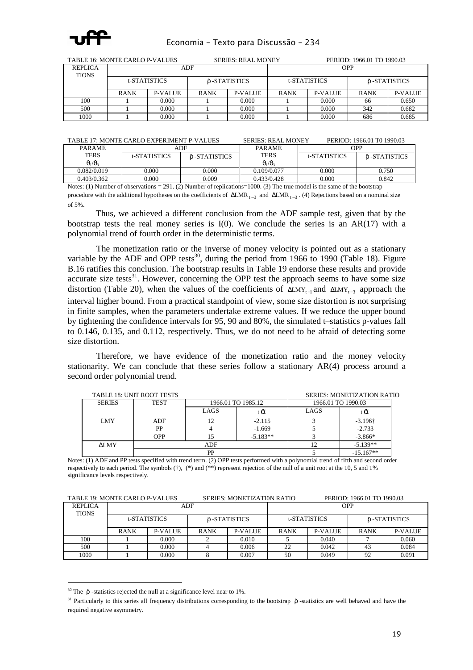

| TABLE 16: MONTE CARLO P-VALUES |             |                |              | <b>SERIES: REAL MONEY</b> |             | PERIOD: 1966.01 TO 1990.03 |             |                |  |
|--------------------------------|-------------|----------------|--------------|---------------------------|-------------|----------------------------|-------------|----------------|--|
| <b>REPLICA</b><br><b>TIONS</b> |             |                | ADF          |                           | <b>OPP</b>  |                            |             |                |  |
|                                |             | t-STATISTICS   | δ-STATISTICS |                           |             | t-STATISTICS               |             | δ -STATISTICS  |  |
|                                | <b>RANK</b> | <b>P-VALUE</b> | <b>RANK</b>  | P-VALUE                   | <b>RANK</b> | <b>P-VALUE</b>             | <b>RANK</b> | <b>P-VALUE</b> |  |
| 100                            |             | 0.000          |              | 0.000                     |             | 0.000                      | 66          | 0.650          |  |
| 500                            |             | 0.000          |              | 0.000                     |             | 0.000                      | 342         | 0.682          |  |
| 1000                           |             | 0.000<br>0.000 |              |                           |             | 0.000                      | 686         | 0.685          |  |

TABLE 17: MONTE CARLO EXPERIMENT P-VALUES SERIES: REAL MONEY PERIOD: 1966.01 T0 1990.03

| <b>PARAME</b>       |                           | ADF          | <b>PARAME</b>       |              | OPP           |
|---------------------|---------------------------|--------------|---------------------|--------------|---------------|
| <b>TERS</b>         | t-STATISTICS              | ô-STATISTICS | <b>TERS</b>         | t-STATISTICS | ô -STATISTICS |
| $\theta_1/\theta_3$ |                           |              | $\theta_1/\theta_3$ |              |               |
| 0.082/0.019         | 0.000                     | 0.000        | 0.109/0.077         | 0.000        | 0.750         |
| 0.403/0.362         | 0.000                     | 0.009        | 0.433/0.428         | 0.000        | 0.842         |
| ---                 | $\sim$ $\sim$<br>-------- | $\cdots$     |                     | .<br>.       |               |

Notes: (1) Number of observations = 291. (2) Number of replications=1000. (3) The true model is the same of the bootstrap procedure with the additional hypotheses on the coefficients of  $\Delta LMR_{t-3}$  and  $\Delta LMR_{t-3}$ . (4) Rejections based on a nominal size of 5%.

 Thus, we achieved a different conclusion from the ADF sample test, given that by the bootstrap tests the real money series is  $I(0)$ . We conclude the series is an AR(17) with a polynomial trend of fourth order in the deterministic terms.

The monetization ratio or the inverse of money velocity is pointed out as a stationary variable by the ADF and OPP tests<sup>30</sup>, during the period from 1966 to 1990 (Table 18). Figure B.16 ratifies this conclusion. The bootstrap results in Table 19 endorse these results and provide accurate size tests<sup>31</sup>. However, concerning the OPP test the approach seems to have some size distortion (Table 20), when the values of the coefficients of  $\Delta LMY_{t-1}$  and  $\Delta LMY_{t-3}$  approach the interval higher bound. From a practical standpoint of view, some size distortion is not surprising in finite samples, when the parameters undertake extreme values. If we reduce the upper bound by tightening the confidence intervals for 95, 90 and 80%, the simulated t–statistics p-values fall to 0.146, 0.135, and 0.112, respectively. Thus, we do not need to be afraid of detecting some size distortion.

Therefore, we have evidence of the monetization ratio and the money velocity stationarity. We can conclude that these series follow a stationary  $AR(4)$  process around a second order polynomial trend.

|               | TABLE 18: UNIT ROOT TESTS |      |                    | <b>SERIES: MONETIZATION RATIO</b> |                 |  |  |
|---------------|---------------------------|------|--------------------|-----------------------------------|-----------------|--|--|
| <b>SERIES</b> | <b>TEST</b>               |      | 1966.01 TO 1985.12 | 1966.01 TO 1990.03                |                 |  |  |
|               |                           | LAGS |                    | LAGS                              |                 |  |  |
| <b>LMY</b>    | ADF                       |      | $-2.115$           |                                   | $-3.196\dagger$ |  |  |
|               | PP                        |      | $-1.669$           |                                   | $-2.733$        |  |  |
|               | <b>OPP</b>                |      | $-5.183**$         |                                   | $-3.866*$       |  |  |
| <b>ALMY</b>   |                           | ADF  |                    |                                   | $-5.139**$      |  |  |
|               |                           | PP   |                    |                                   | $-15.167**$     |  |  |

Notes: (1) ADF and PP tests specified with trend term. (2) OPP tests performed with a polynomial trend of fifth and second order respectively to each period. The symbols (†), (\*) and (\*\*) represent rejection of the null of a unit root at the 10, 5 and 1% significance levels respectively.

| TABLE 19: MONTE CARLO P-VALUES |             |                               |             | <b>SERIES: MONETIZATION RATIO</b> |              |               | PERIOD: 1966.01 TO 1990.03 |                |
|--------------------------------|-------------|-------------------------------|-------------|-----------------------------------|--------------|---------------|----------------------------|----------------|
| <b>REPLICA</b>                 |             |                               | ADF         |                                   | <b>OPP</b>   |               |                            |                |
| <b>TIONS</b>                   |             |                               |             |                                   | t-STATISTICS |               |                            |                |
|                                |             | t-STATISTICS<br>δ -STATISTICS |             |                                   |              | ô -STATISTICS |                            |                |
|                                |             |                               |             |                                   |              |               |                            |                |
|                                | <b>RANK</b> | <b>P-VALUE</b>                | <b>RANK</b> | P-VALUE                           | <b>RANK</b>  | P-VALUE       | <b>RANK</b>                | <b>P-VALUE</b> |
| 100                            |             | 0.000                         |             | 0.010                             |              | 0.040         |                            | 0.060          |
| 500                            |             | 0.000                         |             | 0.006                             | 22           | 0.042         | 43                         | 0.084          |
| 1000                           |             | 0.000                         |             | 0.007                             | 50           | 0.049         | 92                         | 0.091          |

i. <sup>30</sup> The  $\hat{p}$  -statistics rejected the null at a significance level near to 1%.

<sup>&</sup>lt;sup>31</sup> Particularly to this series all frequency distributions corresponding to the bootstrap  $\hat{p}$  -statistics are well behaved and have the required negative asymmetry.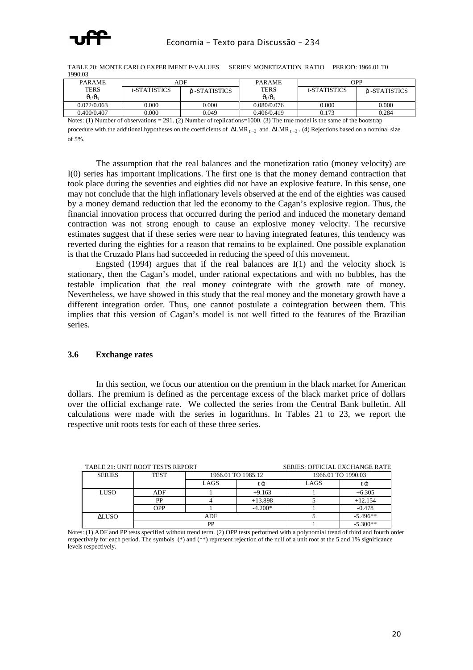

TABLE 20: MONTE CARLO EXPERIMENT P-VALUES SERIES: MONETIZATION RATIO PERIOD: 1966.01 T0 1990.03

| <b>PARAME</b>       | ADF          |              | <b>PARAME</b>       | <b>OPP</b>          |              |
|---------------------|--------------|--------------|---------------------|---------------------|--------------|
| TERS                | t-STATISTICS | ô-STATISTICS | <b>TERS</b>         | <b>t-STATISTICS</b> | ô-STATISTICS |
| $\theta_1/\theta_3$ |              |              | $\theta_1/\theta_3$ |                     |              |
| 0.072/0.063         | 0.000        | 0.000        | 0.080/0.076         | 0.000               | 0.000        |
| 0.400/0.407         | 0.000        | 0.049        | 0.406/0.419         | 0.173               | 0.284        |

Notes: (1) Number of observations = 291. (2) Number of replications=1000. (3) The true model is the same of the bootstrap procedure with the additional hypotheses on the coefficients of  $\Delta LMR_{t-3}$  and  $\Delta LMR_{t-3}$ . (4) Rejections based on a nominal size of 5%.

The assumption that the real balances and the monetization ratio (money velocity) are I(0) series has important implications. The first one is that the money demand contraction that took place during the seventies and eighties did not have an explosive feature. In this sense, one may not conclude that the high inflationary levels observed at the end of the eighties was caused by a money demand reduction that led the economy to the Cagan's explosive region. Thus, the financial innovation process that occurred during the period and induced the monetary demand contraction was not strong enough to cause an explosive money velocity. The recursive estimates suggest that if these series were near to having integrated features, this tendency was reverted during the eighties for a reason that remains to be explained. One possible explanation is that the Cruzado Plans had succeeded in reducing the speed of this movement.

Engsted  $(1994)$  argues that if the real balances are  $I(1)$  and the velocity shock is stationary, then the Cagan's model, under rational expectations and with no bubbles, has the testable implication that the real money cointegrate with the growth rate of money. Nevertheless, we have showed in this study that the real money and the monetary growth have a different integration order. Thus, one cannot postulate a cointegration between them. This implies that this version of Cagan's model is not well fitted to the features of the Brazilian series.

#### **3.6 Exchange rates**

In this section, we focus our attention on the premium in the black market for American dollars. The premium is defined as the percentage excess of the black market price of dollars over the official exchange rate. We collected the series from the Central Bank bulletin. All calculations were made with the series in logarithms. In Tables 21 to 23, we report the respective unit roots tests for each of these three series.

|               | TABLE 21: UNIT ROOT TESTS REPORT |                    | <b>SERIES: OFFICIAL EXCHANGE RATE</b> |                    |            |
|---------------|----------------------------------|--------------------|---------------------------------------|--------------------|------------|
| <b>SERIES</b> | <b>TEST</b>                      | 1966.01 TO 1985.12 |                                       | 1966.01 TO 1990.03 |            |
|               |                                  | LAGS               | tΟX                                   | LAGS               | tᾶ         |
| LUSO          | ADF                              |                    | $+9.163$                              |                    | $+6.305$   |
|               | PP                               |                    | $+13.898$                             |                    | $+12.154$  |
|               | OPP                              |                    | $-4.200*$                             |                    | $-0.478$   |
| <b>ALUSO</b>  |                                  | ADF                |                                       |                    | $-5.496**$ |
|               |                                  | <b>PP</b>          |                                       |                    | $-5.300**$ |

TABLE 21: UNIT ROOT TESTS REPORT SERIES: OFFICIAL EXCHANGE RATE

Notes: (1) ADF and PP tests specified without trend term. (2) OPP tests performed with a polynomial trend of third and fourth order respectively for each period. The symbols (\*) and (\*\*) represent rejection of the null of a unit root at the 5 and 1% significance levels respectively.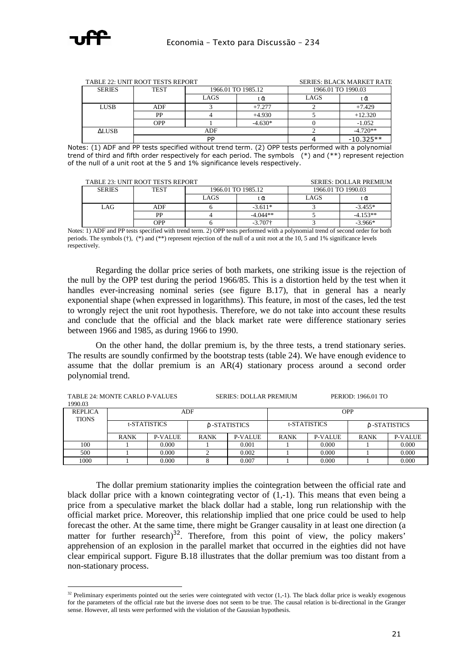

ł

|               | TABLE 22: UNIT ROOT TESTS REPORT | <b>SERIES: BLACK MARKET RATE</b> |                    |                    |             |  |
|---------------|----------------------------------|----------------------------------|--------------------|--------------------|-------------|--|
| <b>SERIES</b> | <b>TEST</b>                      |                                  | 1966.01 TO 1985.12 | 1966.01 TO 1990.03 |             |  |
|               |                                  | LAGS                             | tα                 | LAGS               | ŀα          |  |
| <b>LUSB</b>   | <b>ADF</b>                       |                                  | $+7.277$           |                    | $+7.429$    |  |
|               | PP                               |                                  | $+4.930$           |                    | $+12.320$   |  |
|               | OPP                              |                                  | $-4.630*$          |                    | $-1.052$    |  |
| ALUSB.        |                                  | ADF                              |                    | $-4.720**$         |             |  |
|               |                                  | <b>DP</b>                        |                    |                    | $-10.325**$ |  |

Notes: (1) ADF and PP tests specified without trend term. (2) OPP tests performed with a polynomial trend of third and fifth order respectively for each period. The symbols (\*) and (\*\*) represent rejection of the null of a unit root at the 5 and 1% significance levels respectively.

|               | TABLE 23: UNIT ROOT TESTS REPORT | <b>SERIES: DOLLAR PREMIUM</b> |                    |                    |            |  |
|---------------|----------------------------------|-------------------------------|--------------------|--------------------|------------|--|
| <b>SERIES</b> | <b>TEST</b>                      |                               | 1966.01 TO 1985.12 | 1966.01 TO 1990.03 |            |  |
|               |                                  | LAGS                          | tκλ                | LAGS               | ιoν        |  |
| LAG           | ADF                              |                               | $-3.611*$          |                    | $-3.455*$  |  |
|               | PP                               |                               | $-4.044**$         |                    | $-4.153**$ |  |
|               | OPP                              |                               | $-3.707\dagger$    |                    | $-3.966*$  |  |

Notes: 1) ADF and PP tests specified with trend term. 2) OPP tests performed with a polynomial trend of second order for both periods. The symbols (†), (\*) and (\*\*) represent rejection of the null of a unit root at the 10, 5 and 1% significance levels respectively.

 Regarding the dollar price series of both markets, one striking issue is the rejection of the null by the OPP test during the period 1966/85. This is a distortion held by the test when it handles ever-increasing nominal series (see figure B.17), that in general has a nearly exponential shape (when expressed in logarithms). This feature, in most of the cases, led the test to wrongly reject the unit root hypothesis. Therefore, we do not take into account these results and conclude that the official and the black market rate were difference stationary series between 1966 and 1985, as during 1966 to 1990.

 On the other hand, the dollar premium is, by the three tests, a trend stationary series. The results are soundly confirmed by the bootstrap tests (table 24). We have enough evidence to assume that the dollar premium is an AR(4) stationary process around a second order polynomial trend.

| TABLE 24: MONTE CARLO P-VALUES |             |              | <b>SERIES: DOLLAR PREMIUM</b> |         |              | PERIOD: 1966.01 TO |               |                |
|--------------------------------|-------------|--------------|-------------------------------|---------|--------------|--------------------|---------------|----------------|
| 1990.03                        |             |              |                               |         |              |                    |               |                |
| <b>REPLICA</b>                 | ADF         |              |                               |         | <b>OPP</b>   |                    |               |                |
| <b>TIONS</b>                   |             |              |                               |         |              |                    |               |                |
|                                |             | t-STATISTICS | ô -STATISTICS                 |         | t-STATISTICS |                    | ô -STATISTICS |                |
|                                |             |              |                               |         |              |                    |               |                |
|                                | <b>RANK</b> | P-VALUE      | <b>RANK</b>                   | P-VALUE | <b>RANK</b>  | <b>P-VALUE</b>     | <b>RANK</b>   | <b>P-VALUE</b> |
| 100                            |             | 0.000        |                               | 0.001   |              | 0.000              |               | 0.000          |
| 500                            |             | 0.000        |                               | 0.002   |              | 0.000              |               | 0.000          |
| 1000                           |             | 0.000        |                               | 0.007   |              | 0.000              |               | 0.000          |

The dollar premium stationarity implies the cointegration between the official rate and black dollar price with a known cointegrating vector of (1,-1). This means that even being a price from a speculative market the black dollar had a stable, long run relationship with the official market price. Moreover, this relationship implied that one price could be used to help forecast the other. At the same time, there might be Granger causality in at least one direction (a matter for further research) $32$ . Therefore, from this point of view, the policy makers' apprehension of an explosion in the parallel market that occurred in the eighties did not have clear empirical support. Figure B.18 illustrates that the dollar premium was too distant from a non-stationary process.

 $32$  Preliminary experiments pointed out the series were cointegrated with vector (1,-1). The black dollar price is weakly exogenous for the parameters of the official rate but the inverse does not seem to be true. The causal relation is bi-directional in the Granger sense. However, all tests were performed with the violation of the Gaussian hypothesis.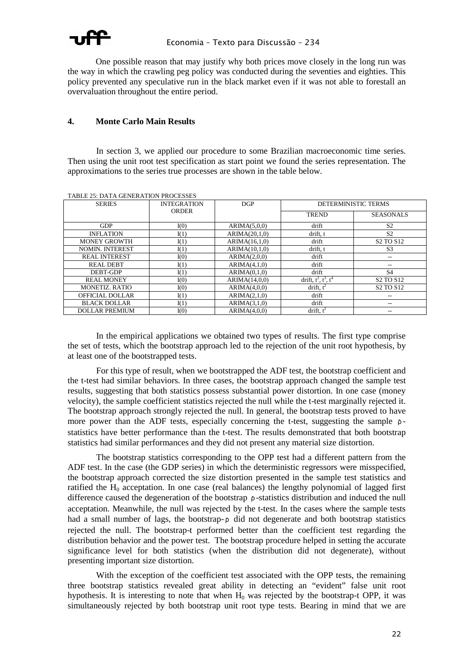

 One possible reason that may justify why both prices move closely in the long run was the way in which the crawling peg policy was conducted during the seventies and eighties. This policy prevented any speculative run in the black market even if it was not able to forestall an overvaluation throughout the entire period.

#### **4. Monte Carlo Main Results**

In section 3, we applied our procedure to some Brazilian macroeconomic time series. Then using the unit root test specification as start point we found the series representation. The approximations to the series true processes are shown in the table below.

| <b>SERIES</b>          | <b>INTEGRATION</b> | DGP           | DETERMINISTIC TERMS          |                                   |  |
|------------------------|--------------------|---------------|------------------------------|-----------------------------------|--|
|                        | <b>ORDER</b>       |               | <b>TREND</b>                 | <b>SEASONALS</b>                  |  |
| <b>GDP</b>             | I(0)               | ARIMA(5,0,0)  | drift                        | S <sub>2</sub>                    |  |
| <b>INFLATION</b>       | I(1)               | ARIMA(20,1,0) | drift, t                     | S <sub>2</sub>                    |  |
| <b>MONEY GROWTH</b>    | I(1)               | ARIMA(16,1,0) | drift                        | S <sub>2</sub> TO S <sub>12</sub> |  |
| <b>NOMIN. INTEREST</b> | I(1)               | ARIMA(10,1,0) | drift, t                     | S <sub>3</sub>                    |  |
| <b>REAL INTEREST</b>   | I(0)               | ARIMA(2,0,0)  | drift                        | $- -$                             |  |
| <b>REAL DEBT</b>       | I(1)               | ARIMA(4,1,0)  | drift                        | --                                |  |
| DEBT-GDP               | I(1)               | ARIMA(0,1,0)  | drift                        | S4                                |  |
| <b>REAL MONEY</b>      | I(0)               | ARIMA(14,0,0) | drift, $t^2$ , $t^3$ , $t^4$ | S <sub>2</sub> TO S <sub>12</sub> |  |
| <b>MONETIZ, RATIO</b>  | I(0)               | ARIMA(4,0,0)  | drift, $t^2$                 | S <sub>2</sub> TO S <sub>12</sub> |  |
| OFFICIAL DOLLAR        | I(1)               | ARIMA(2,1,0)  | drift                        | --                                |  |
| <b>BLACK DOLLAR</b>    | I(1)               | ARIMA(3,1,0)  | drift                        | $-\,-$                            |  |
| <b>DOLLAR PREMIUM</b>  | I(0)               | ARIMA(4.0.0)  | drift. $t^2$                 | --                                |  |

TABLE 25: DATA GENERATION PROCESSES

In the empirical applications we obtained two types of results. The first type comprise the set of tests, which the bootstrap approach led to the rejection of the unit root hypothesis, by at least one of the bootstrapped tests.

For this type of result, when we bootstrapped the ADF test, the bootstrap coefficient and the t-test had similar behaviors. In three cases, the bootstrap approach changed the sample test results, suggesting that both statistics possess substantial power distortion. In one case (money velocity), the sample coefficient statistics rejected the null while the t-test marginally rejected it. The bootstrap approach strongly rejected the null. In general, the bootstrap tests proved to have more power than the ADF tests, especially concerning the t-test, suggesting the sample  $\rho$ statistics have better performance than the t-test. The results demonstrated that both bootstrap statistics had similar performances and they did not present any material size distortion.

The bootstrap statistics corresponding to the OPP test had a different pattern from the ADF test. In the case (the GDP series) in which the deterministic regressors were misspecified, the bootstrap approach corrected the size distortion presented in the sample test statistics and ratified the  $H_0$  acceptation. In one case (real balances) the lengthy polynomial of lagged first difference caused the degeneration of the bootstrap ρˆ -statistics distribution and induced the null acceptation. Meanwhile, the null was rejected by the t-test. In the cases where the sample tests had a small number of lags, the bootstrap- $\rho$  did not degenerate and both bootstrap statistics rejected the null. The bootstrap-t performed better than the coefficient test regarding the distribution behavior and the power test. The bootstrap procedure helped in setting the accurate significance level for both statistics (when the distribution did not degenerate), without presenting important size distortion.

With the exception of the coefficient test associated with the OPP tests, the remaining three bootstrap statistics revealed great ability in detecting an "evident" false unit root hypothesis. It is interesting to note that when  $H_0$  was rejected by the bootstrap-t OPP, it was simultaneously rejected by both bootstrap unit root type tests. Bearing in mind that we are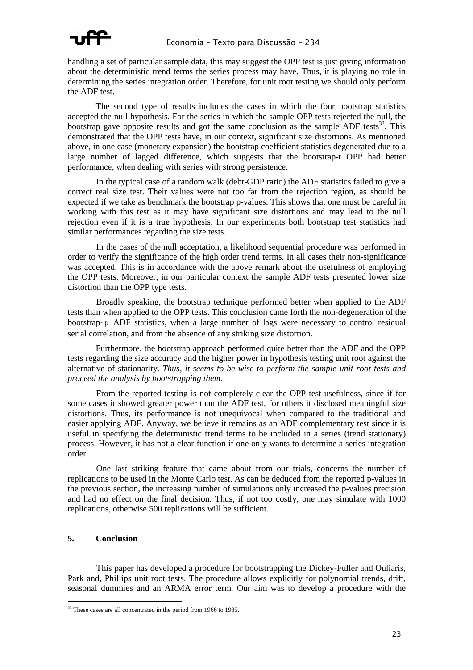

handling a set of particular sample data, this may suggest the OPP test is just giving information about the deterministic trend terms the series process may have. Thus, it is playing no role in determining the series integration order. Therefore, for unit root testing we should only perform the ADF test.

 The second type of results includes the cases in which the four bootstrap statistics accepted the null hypothesis. For the series in which the sample OPP tests rejected the null, the bootstrap gave opposite results and got the same conclusion as the sample ADF tests<sup>33</sup>. This demonstrated that the OPP tests have, in our context, significant size distortions. As mentioned above, in one case (monetary expansion) the bootstrap coefficient statistics degenerated due to a large number of lagged difference, which suggests that the bootstrap-t OPP had better performance, when dealing with series with strong persistence.

In the typical case of a random walk (debt-GDP ratio) the ADF statistics failed to give a correct real size test. Their values were not too far from the rejection region, as should be expected if we take as benchmark the bootstrap p-values. This shows that one must be careful in working with this test as it may have significant size distortions and may lead to the null rejection even if it is a true hypothesis. In our experiments both bootstrap test statistics had similar performances regarding the size tests.

In the cases of the null acceptation, a likelihood sequential procedure was performed in order to verify the significance of the high order trend terms. In all cases their non-significance was accepted. This is in accordance with the above remark about the usefulness of employing the OPP tests. Moreover, in our particular context the sample ADF tests presented lower size distortion than the OPP type tests.

Broadly speaking, the bootstrap technique performed better when applied to the ADF tests than when applied to the OPP tests. This conclusion came forth the non-degeneration of the bootstrap- ρ ADF statistics, when a large number of lags were necessary to control residual serial correlation, and from the absence of any striking size distortion.

 Furthermore, the bootstrap approach performed quite better than the ADF and the OPP tests regarding the size accuracy and the higher power in hypothesis testing unit root against the alternative of stationarity. *Thus, it seems to be wise to perform the sample unit root tests and proceed the analysis by bootstrapping them.*

From the reported testing is not completely clear the OPP test usefulness, since if for some cases it showed greater power than the ADF test, for others it disclosed meaningful size distortions. Thus, its performance is not unequivocal when compared to the traditional and easier applying ADF. Anyway, we believe it remains as an ADF complementary test since it is useful in specifying the deterministic trend terms to be included in a series (trend stationary) process. However, it has not a clear function if one only wants to determine a series integration order.

One last striking feature that came about from our trials, concerns the number of replications to be used in the Monte Carlo test. As can be deduced from the reported p-values in the previous section, the increasing number of simulations only increased the p-values precision and had no effect on the final decision. Thus, if not too costly, one may simulate with 1000 replications, otherwise 500 replications will be sufficient.

#### **5. Conclusion**

This paper has developed a procedure for bootstrapping the Dickey-Fuller and Ouliaris, Park and, Phillips unit root tests. The procedure allows explicitly for polynomial trends, drift, seasonal dummies and an ARMA error term. Our aim was to develop a procedure with the

ł <sup>33</sup> These cases are all concentrated in the period from 1966 to 1985.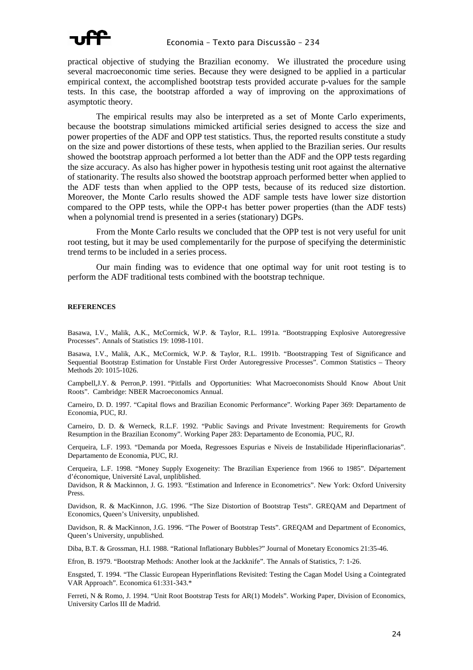practical objective of studying the Brazilian economy. We illustrated the procedure using several macroeconomic time series. Because they were designed to be applied in a particular empirical context, the accomplished bootstrap tests provided accurate p-values for the sample tests. In this case, the bootstrap afforded a way of improving on the approximations of asymptotic theory.

The empirical results may also be interpreted as a set of Monte Carlo experiments, because the bootstrap simulations mimicked artificial series designed to access the size and power properties of the ADF and OPP test statistics. Thus, the reported results constitute a study on the size and power distortions of these tests, when applied to the Brazilian series. Our results showed the bootstrap approach performed a lot better than the ADF and the OPP tests regarding the size accuracy. As also has higher power in hypothesis testing unit root against the alternative of stationarity. The results also showed the bootstrap approach performed better when applied to the ADF tests than when applied to the OPP tests, because of its reduced size distortion. Moreover, the Monte Carlo results showed the ADF sample tests have lower size distortion compared to the OPP tests, while the OPP-t has better power properties (than the ADF tests) when a polynomial trend is presented in a series (stationary) DGPs.

From the Monte Carlo results we concluded that the OPP test is not very useful for unit root testing, but it may be used complementarily for the purpose of specifying the deterministic trend terms to be included in a series process.

Our main finding was to evidence that one optimal way for unit root testing is to perform the ADF traditional tests combined with the bootstrap technique.

#### **REFERENCES**

Basawa, I.V., Malik, A.K., McCormick, W.P. & Taylor, R.L. 1991a. "Bootstrapping Explosive Autoregressive Processes". Annals of Statistics 19: 1098-1101.

Basawa, I.V., Malik, A.K., McCormick, W.P. & Taylor, R.L. 1991b. "Bootstrapping Test of Significance and Sequential Bootstrap Estimation for Unstable First Order Autoregressive Processes". Common Statistics – Theory Methods 20: 1015-1026.

Campbell,J.Y. & Perron,P. 1991. "Pitfalls and Opportunities: What Macroeconomists Should Know About Unit Roots". Cambridge: NBER Macroeconomics Annual.

Carneiro, D. D. 1997. "Capital flows and Brazilian Economic Performance". Working Paper 369: Departamento de Economia, PUC, RJ.

Carneiro, D. D. & Werneck, R.L.F. 1992. "Public Savings and Private Investment: Requirements for Growth Resumption in the Brazilian Economy". Working Paper 283: Departamento de Economia, PUC, RJ.

Cerqueira, L.F. 1993. "Demanda por Moeda, Regressoes Espurias e Niveis de Instabilidade Hiperinflacionarias". Departamento de Economia, PUC, RJ.

Cerqueira, L.F. 1998. "Money Supply Exogeneity: The Brazilian Experience from 1966 to 1985". Département d'économique, Université Laval, unpliblished.

Davidson, R & Mackinnon, J. G. 1993. "Estimation and Inference in Econometrics". New York: Oxford University Press.

Davidson, R. & MacKinnon, J.G. 1996. "The Size Distortion of Bootstrap Tests". GREQAM and Department of Economics, Queen's University, unpublished.

Davidson, R. & MacKinnon, J.G. 1996. "The Power of Bootstrap Tests". GREQAM and Department of Economics, Queen's University, unpublished.

Diba, B.T. & Grossman, H.I. 1988. "Rational Inflationary Bubbles?" Journal of Monetary Economics 21:35-46.

Efron, B. 1979. "Bootstrap Methods: Another look at the Jackknife". The Annals of Statistics, 7: 1-26.

Ensgsted, T. 1994. "The Classic European Hyperinflations Revisited: Testing the Cagan Model Using a Cointegrated VAR Approach". Economica 61:331-343.\*

Ferreti, N & Romo, J. 1994. "Unit Root Bootstrap Tests for AR(1) Models". Working Paper, Division of Economics, University Carlos III de Madrid.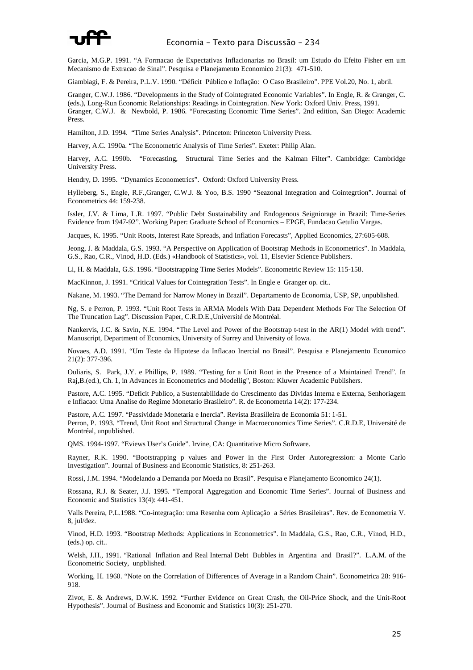

Garcia, M.G.P. 1991. "A Formacao de Expectativas Inflacionarias no Brasil: um Estudo do Efeito Fisher em um Mecanismo de Extracao de Sinal". Pesquisa e Planejamento Economico 21(3): 471-510.

Giambiagi, F. & Pereira, P.L.V. 1990. "Déficit Público e Inflação: O Caso Brasileiro". PPE Vol.20, No. 1, abril.

Granger, C.W.J. 1986. "Developments in the Study of Cointegrated Economic Variables". In Engle, R. & Granger, C. (eds.), Long-Run Economic Relationships: Readings in Cointegration. New York: Oxford Univ. Press, 1991. Granger, C.W.J. & Newbold, P. 1986. "Forecasting Economic Time Series". 2nd edition, San Diego: Academic Press.

Hamilton, J.D. 1994. "Time Series Analysis". Princeton: Princeton University Press.

Harvey, A.C. 1990a. "The Econometric Analysis of Time Series". Exeter: Philip Alan.

Harvey, A.C. 1990b. "Forecasting, Structural Time Series and the Kalman Filter". Cambridge: Cambridge University Press.

Hendry, D. 1995. "Dynamics Econometrics". Oxford: Oxford University Press.

Hylleberg, S., Engle, R.F.,Granger, C.W.J. & Yoo, B.S. 1990 "Seazonal Integration and Cointegrtion". Journal of Econometrics 44: 159-238.

Issler, J.V. & Lima, L.R. 1997. "Public Debt Sustainability and Endogenous Seigniorage in Brazil: Time-Series Evidence from 1947-92". Working Paper: Graduate School of Economics – EPGE, Fundacao Getulio Vargas.

Jacques, K. 1995. "Unit Roots, Interest Rate Spreads, and Inflation Forecasts", Applied Economics, 27:605-608.

Jeong, J. & Maddala, G.S. 1993. "A Perspective on Application of Bootstrap Methods in Econometrics". In Maddala, G.S., Rao, C.R., Vinod, H.D. (Eds.) «Handbook of Statistics», vol. 11, Elsevier Science Publishers.

Li, H. & Maddala, G.S. 1996. "Bootstrapping Time Series Models". Econometric Review 15: 115-158.

MacKinnon, J. 1991. "Critical Values for Cointegration Tests". In Engle e Granger op. cit..

Nakane, M. 1993. "The Demand for Narrow Money in Brazil". Departamento de Economia, USP, SP, unpublished.

Ng, S. e Perron, P. 1993. "Unit Root Tests in ARMA Models With Data Dependent Methods For The Selection Of The Truncation Lag". Discussion Paper, C.R.D.E.,Université de Montréal.

Nankervis, J.C. & Savin, N.E. 1994. "The Level and Power of the Bootstrap t-test in the AR(1) Model with trend". Manuscript, Department of Economics, University of Surrey and University of Iowa.

Novaes, A.D. 1991. "Um Teste da Hipotese da Inflacao Inercial no Brasil". Pesquisa e Planejamento Economico 21(2): 377-396.

Ouliaris, S. Park, J.Y. e Phillips, P. 1989. "Testing for a Unit Root in the Presence of a Maintained Trend". In Raj,B.(ed.), Ch. 1, in Advances in Econometrics and Modellig", Boston: Kluwer Academic Publishers.

Pastore, A.C. 1995. "Deficit Publico, a Sustentabilidade do Crescimento das Dividas Interna e Externa, Senhoriagem e Inflacao: Uma Analise do Regime Monetario Brasileiro". R. de Econometria 14(2): 177-234.

Pastore, A.C. 1997. "Passividade Monetaria e Inercia". Revista Brasilleira de Economia 51: 1-51. Perron, P. 1993. "Trend, Unit Root and Structural Change in Macroeconomics Time Series". C.R.D.E, Université de Montréal, unpublished.

QMS. 1994-1997. "Eviews User's Guide". Irvine, CA: Quantitative Micro Software.

Rayner, R.K. 1990. "Bootstrapping p values and Power in the First Order Autoregression: a Monte Carlo Investigation". Journal of Business and Economic Statistics, 8: 251-263.

Rossi, J.M. 1994. "Modelando a Demanda por Moeda no Brasil". Pesquisa e Planejamento Economico 24(1).

Rossana, R.J. & Seater, J.J. 1995. "Temporal Aggregation and Economic Time Series". Journal of Business and Economic and Statistics 13(4): 441-451.

Valls Pereira, P.L.1988. "Co-integração: uma Resenha com Aplicação a Séries Brasileiras". Rev. de Econometria V. 8, jul/dez.

Vinod, H.D. 1993. "Bootstrap Methods: Applications in Econometrics". In Maddala, G.S., Rao, C.R., Vinod, H.D., (eds.) op. cit..

Welsh, J.H., 1991. "Rational Inflation and Real Internal Debt Bubbles in Argentina and Brasil?". L.A.M. of the Econometric Society, unpblished.

Working, H. 1960. "Note on the Correlation of Differences of Average in a Random Chain". Econometrica 28: 916- 918.

Zivot, E. & Andrews, D.W.K. 1992. "Further Evidence on Great Crash, the Oil-Price Shock, and the Unit-Root Hypothesis". Journal of Business and Economic and Statistics 10(3): 251-270.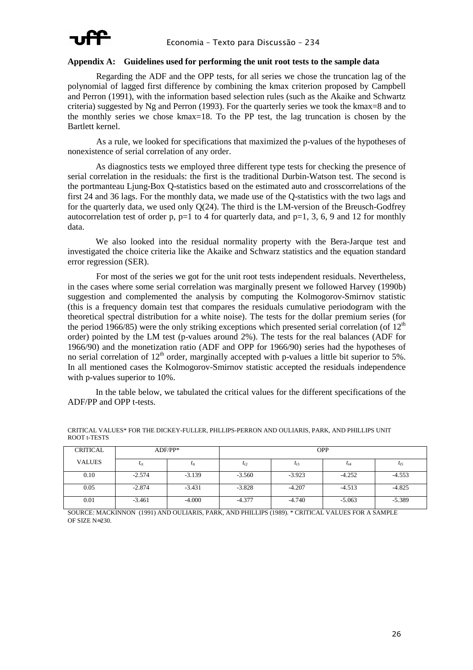

#### **Appendix A: Guidelines used for performing the unit root tests to the sample data**

Regarding the ADF and the OPP tests, for all series we chose the truncation lag of the polynomial of lagged first difference by combining the kmax criterion proposed by Campbell and Perron (1991), with the information based selection rules (such as the Akaike and Schwartz criteria) suggested by Ng and Perron (1993). For the quarterly series we took the kmax=8 and to the monthly series we chose kmax=18. To the PP test, the lag truncation is chosen by the Bartlett kernel.

As a rule, we looked for specifications that maximized the p-values of the hypotheses of nonexistence of serial correlation of any order.

 As diagnostics tests we employed three different type tests for checking the presence of serial correlation in the residuals: the first is the traditional Durbin-Watson test. The second is the portmanteau Ljung-Box Q-statistics based on the estimated auto and crosscorrelations of the first 24 and 36 lags. For the monthly data, we made use of the Q-statistics with the two lags and for the quarterly data, we used only  $O(24)$ . The third is the LM-version of the Breusch-Godfrey autocorrelation test of order p,  $p=1$  to 4 for quarterly data, and  $p=1$ , 3, 6, 9 and 12 for monthly data.

 We also looked into the residual normality property with the Bera-Jarque test and investigated the choice criteria like the Akaike and Schwarz statistics and the equation standard error regression (SER).

For most of the series we got for the unit root tests independent residuals. Nevertheless, in the cases where some serial correlation was marginally present we followed Harvey (1990b) suggestion and complemented the analysis by computing the Kolmogorov-Smirnov statistic (this is a frequency domain test that compares the residuals cumulative periodogram with the theoretical spectral distribution for a white noise). The tests for the dollar premium series (for the period 1966/85) were the only striking exceptions which presented serial correlation (of  $12<sup>th</sup>$ order) pointed by the LM test (p-values around 2%). The tests for the real balances (ADF for 1966/90) and the monetization ratio (ADF and OPP for 1966/90) series had the hypotheses of no serial correlation of  $12<sup>th</sup>$  order, marginally accepted with p-values a little bit superior to 5%. In all mentioned cases the Kolmogorov-Smirnov statistic accepted the residuals independence with p-values superior to 10%.

 In the table below, we tabulated the critical values for the different specifications of the ADF/PP and OPP t-tests.

| CRITICAL      | $ADF/PP*$             |          | <b>OPP</b> |          |          |          |  |
|---------------|-----------------------|----------|------------|----------|----------|----------|--|
| <b>VALUES</b> | $\iota$ <sub>ct</sub> | $l_{tt}$ | $t_{t2}$   | $t_{t3}$ | $t_{t4}$ | $t_{t5}$ |  |
| 0.10          | $-2.574$              | $-3.139$ | $-3.560$   | $-3.923$ | $-4.252$ | $-4.553$ |  |
| 0.05          | $-2.874$              | $-3.431$ | $-3.828$   | $-4.207$ | $-4.513$ | $-4.825$ |  |
| 0.01          | $-3.461$              | $-4.000$ | $-4.377$   | $-4.740$ | $-5.063$ | $-5.389$ |  |

CRITICAL VALUES\* FOR THE DICKEY-FULLER, PHLLIPS-PERRON AND OULIARIS, PARK, AND PHILLIPS UNIT ROOT t-TESTS

SOURCE: MACKINNON (1991) AND OULIARIS, PARK, AND PHILLIPS (1989). \* CRITICAL VALUES FOR A SAMPLE OF SIZE N≈230.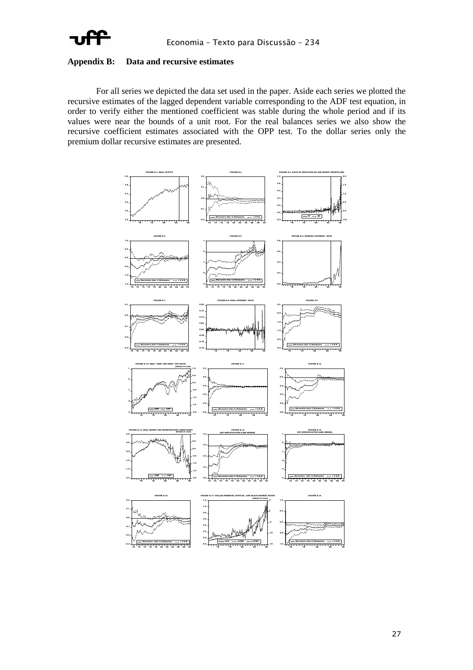

#### **Appendix B: Data and recursive estimates**

For all series we depicted the data set used in the paper. Aside each series we plotted the recursive estimates of the lagged dependent variable corresponding to the ADF test equation, in order to verify either the mentioned coefficient was stable during the whole period and if its values were near the bounds of a unit root. For the real balances series we also show the recursive coefficient estimates associated with the OPP test. To the dollar series only the premium dollar recursive estimates are presented.

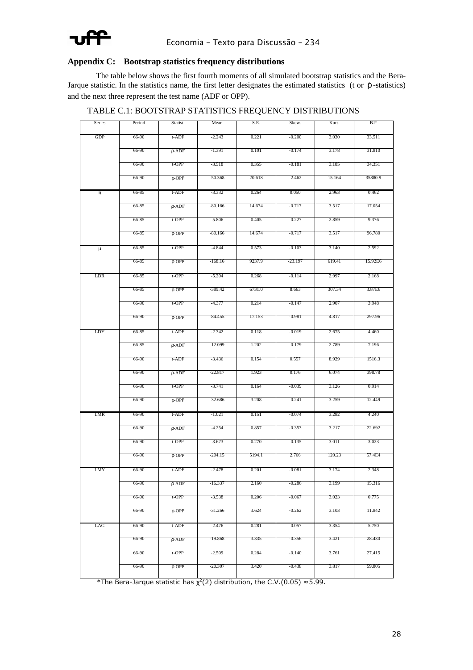

#### **Appendix C: Bootstrap statistics frequency distributions**

The table below shows the first fourth moments of all simulated bootstrap statistics and the Bera-Jarque statistic. In the statistics name, the first letter designates the estimated statistics (t or  $\rho$ -statistics) and the next three represent the test name (ADF or OPP).

| Series | Period | Statist.    | Mean      | S.E.   | Skew.    | Kurt.  | $_{\rm BJ*}$ |
|--------|--------|-------------|-----------|--------|----------|--------|--------------|
| GDP    | 66-90  | t-ADF       | $-2.243$  | 0.221  | $-0.200$ | 3.030  | 33.511       |
|        | 66-90  | $\rho$ -ADF | -1.391    | 0.101  | $-0.174$ | 3.178  | 31.810       |
|        | 66-90  | t-OPP       | $-3.518$  | 0.355  | $-0.181$ | 3.185  | 34.351       |
|        | 66-90  | $\rho$ -OPP | -50.368   | 20.618 | $-2.462$ | 15.164 | 35880.9      |
| π      | 66-85  | t-ADF       | -3.332    | 0.264  | 0.050    | 2.963  | 0.462        |
|        | 66-85  | $\rho$ -ADF | -80.166   | 14.674 | $-0.717$ | 3.517  | 17.054       |
|        | 66-85  | t-OPP       | $-5.806$  | 0.405  | $-0.227$ | 2.859  | 9.376        |
|        | 66-85  | $\rho$ -OPP | -80.166   | 14.674 | $-0.717$ | 3.517  | 96.780       |
| $\mu$  | 66-85  | t-OPP       | $-4.844$  | 0.573  | $-0.103$ | 3.140  | 2.592        |
|        | 66-85  | $\rho$ -OPP | -168.16   | 9237.9 | -23.197  | 619.41 | 15.92E6      |
| LDR    | 66-85  | t-OPP       | $-5.204$  | 0.268  | $-0.114$ | 2.997  | 2.168        |
|        |        |             |           |        |          |        |              |
|        | 66-85  | $\rho$ -OPP | -389.42   | 6731.0 | 8.663    | 307.34 | 3.87E6       |
|        | 66-90  | t-OPP       | -4.377    | 0.214  | $-0.147$ | 2.907  | 3.948        |
|        | 66-90  | $\rho$ -OPP | -84.455   | 17.153 | $-0.981$ | 4.817  | 297.96       |
| LDY    | 66-85  | t-ADF       | $-2.342$  | 0.118  | $-0.019$ | 2.675  | 4.460        |
|        | 66-85  | $\rho$ -ADF | $-12.099$ | 1.202  | $-0.179$ | 2.789  | 7.196        |
|        | 66-90  | t-ADF       | $-3.436$  | 0.154  | 0.557    | 8.929  | 1516.3       |
|        | 66-90  | $\rho$ -ADF | -22.817   | 1.923  | 0.176    | 6.074  | 398.78       |
|        | 66-90  | t-OPP       | $-3.741$  | 0.164  | $-0.039$ | 3.126  | 0.914        |
|        | 66-90  | $\rho$ -OPP | $-32.686$ | 3.208  | $-0.241$ | 3.259  | 12.449       |
| LMR    | 66-90  | t-ADF       | $-1.021$  | 0.151  | $-0.074$ | 3.282  | 4.240        |
|        | 66-90  | $\rho$ -ADF | -4.254    | 0.857  | $-0.353$ | 3.217  | 22.692       |
|        | 66-90  | t-OPP       | -3.673    | 0.270  | $-0.135$ | 3.011  | 3.023        |
|        | 66-90  | $\rho$ -OPP | -204.15   | 5194.1 | 2.766    | 120.23 | 57.4E4       |
| LMY    | 66-90  | t-ADF       | $-2.478$  | 0.201  | $-0.081$ | 3.174  | 2.348        |
|        | 66-90  | $\rho$ -ADF | -16.337   | 2.160  | -0.286   | 3.199  | 15.316       |
|        | 66-90  | t-OPP       | -3.538    | 0.206  | -0.067   | 3.023  | 0.775        |
|        | 66-90  | $\rho$ -OPP | -31.266   | 3.624  | $-0.262$ | 3.103  | 11.842       |
| LAG    | 66-90  | t-ADF       | $-2.476$  | 0.281  | $-0.057$ | 3.354  | 5.750        |
|        | 66-90  | $\rho$ -ADF | -19.868   | 3.335  | $-0.356$ | 3.421  | 28.430       |
|        | 66-90  | t-OPP       | -2.509    | 0.284  | -0.140   | 3.761  | 27.415       |
|        | 66-90  | $\rho$ -OPP | -20.307   | 3.420  | $-0.438$ | 3.817  | 59.805       |
|        |        |             |           |        |          |        |              |

TABLE C.1: BOOTSTRAP STATISTICS FREQUENCY DISTRIBUTIONS

\*The Bera-Jarque statistic has  $\chi^2(2)$  distribution, the C.V.(0.05)  $\approx$  5.99.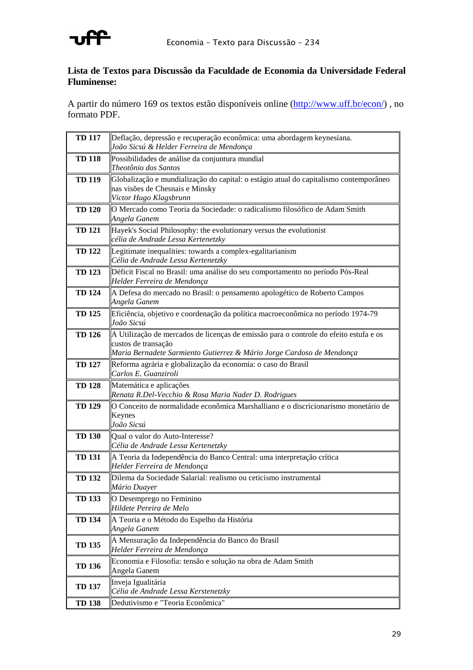

### **Lista de Textos para Discussão da Faculdade de Economia da Universidade Federal Fluminense:**

A partir do número 169 os textos estão disponíveis online (http://www.uff.br/econ/) , no formato PDF.

| <b>TD 117</b> | Deflação, depressão e recuperação econômica: uma abordagem keynesiana.<br>João Sicsú & Helder Ferreira de Mendonça                                                                    |
|---------------|---------------------------------------------------------------------------------------------------------------------------------------------------------------------------------------|
| <b>TD 118</b> | Possibilidades de análise da conjuntura mundial<br>Theotônio dos Santos                                                                                                               |
| <b>TD 119</b> | Globalização e mundialização do capital: o estágio atual do capitalismo contemporâneo<br>nas visões de Chesnais e Minsky<br>Victor Hugo Klagsbrunn                                    |
| <b>TD 120</b> | O Mercado como Teoria da Sociedade: o radicalismo filosófico de Adam Smith<br>Angela Ganem                                                                                            |
| <b>TD 121</b> | Hayek's Social Philosophy: the evolutionary versus the evolutionist<br>célia de Andrade Lessa Kertenetzky                                                                             |
| <b>TD 122</b> | Legitimate inequalities: towards a complex-egalitarianism<br>Célia de Andrade Lessa Kertenetzky                                                                                       |
| <b>TD 123</b> | Déficit Fiscal no Brasil: uma análise do seu comportamento no período Pós-Real<br>Helder Ferreira de Mendonça                                                                         |
| <b>TD 124</b> | A Defesa do mercado no Brasil: o pensamento apologético de Roberto Campos<br>Angela Ganem                                                                                             |
| <b>TD 125</b> | Eficiência, objetivo e coordenação da política macroeconômica no período 1974-79<br>João Sicsú                                                                                        |
| <b>TD 126</b> | A Utilização de mercados de licenças de emissão para o controle do efeito estufa e os<br>custos de transação<br>Maria Bernadete Sarmiento Gutierrez & Mário Jorge Cardoso de Mendonça |
| <b>TD 127</b> | Reforma agrária e globalização da economia: o caso do Brasil<br>Carlos E. Guanziroli                                                                                                  |
| <b>TD 128</b> | Matemática e aplicações<br>Renata R.Del-Vecchio & Rosa Maria Nader D. Rodrigues                                                                                                       |
| <b>TD 129</b> | O Conceito de normalidade econômica Marshalliano e o discricionarismo monetário de<br>Keynes<br>João Sicsú                                                                            |
| <b>TD 130</b> | Qual o valor do Auto-Interesse?<br>Célia de Andrade Lessa Kertenetzky                                                                                                                 |
| <b>TD 131</b> | A Teoria da Independência do Banco Central: uma interpretação crítica<br>Helder Ferreira de Mendonça                                                                                  |
| <b>TD 132</b> | Dilema da Sociedade Salarial: realismo ou ceticismo instrumental<br>Mário Duayer                                                                                                      |
| <b>TD 133</b> | O Desemprego no Feminino<br>Hildete Pereira de Melo                                                                                                                                   |
| <b>TD 134</b> | A Teoria e o Método do Espelho da História<br>Angela Ganem                                                                                                                            |
| <b>TD 135</b> | A Mensuração da Independência do Banco do Brasil<br>Helder Ferreira de Mendonça                                                                                                       |
| <b>TD 136</b> | Economia e Filosofia: tensão e solução na obra de Adam Smith<br>Angela Ganem                                                                                                          |
| <b>TD 137</b> | Inveja Igualitária<br>Célia de Andrade Lessa Kerstenetzky                                                                                                                             |
| <b>TD 138</b> | Dedutivismo e "Teoria Econômica"                                                                                                                                                      |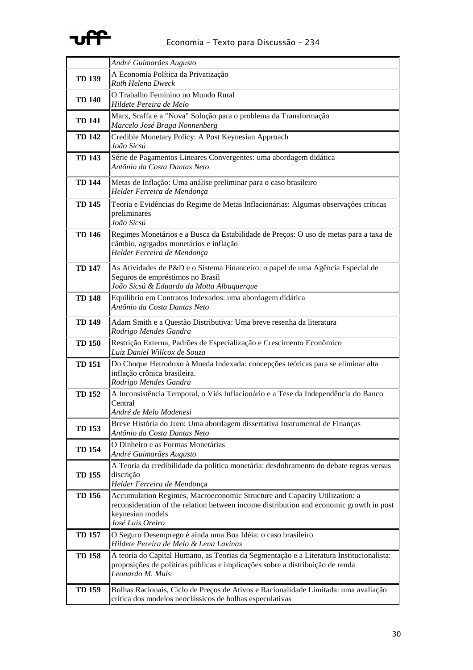# **uff**

## Economia – Texto para Discussão – 234

|               | André Guimarães Augusto                                                                                                                                                                                      |
|---------------|--------------------------------------------------------------------------------------------------------------------------------------------------------------------------------------------------------------|
| <b>TD 139</b> | A Economia Política da Privatização<br>Ruth Helena Dweck                                                                                                                                                     |
| <b>TD 140</b> | O Trabalho Feminino no Mundo Rural<br>Hildete Pereira de Melo                                                                                                                                                |
| <b>TD 141</b> | Marx, Sraffa e a "Nova" Solução para o problema da Transformação<br>Marcelo José Braga Nonnenberg                                                                                                            |
| <b>TD 142</b> | Credible Monetary Policy: A Post Keynesian Approach<br>João Sicsú                                                                                                                                            |
| <b>TD 143</b> | Série de Pagamentos Lineares Convergentes: uma abordagem didática<br>Antônio da Costa Dantas Neto                                                                                                            |
| <b>TD 144</b> | Metas de Inflação: Uma análise preliminar para o caso brasileiro<br>Helder Ferreira de Mendonça                                                                                                              |
| <b>TD 145</b> | Teoria e Evidências do Regime de Metas Inflacionárias: Algumas observações críticas<br>preliminares<br>João Sicsú                                                                                            |
| <b>TD 146</b> | Regimes Monetários e a Busca da Estabilidade de Preços: O uso de metas para a taxa de<br>câmbio, agrgados monetários e inflação<br>Helder Ferreira de Mendonça                                               |
| <b>TD 147</b> | As Atividades de P&D e o Sistema Financeiro: o papel de uma Agência Especial de<br>Seguros de empréstimos no Brasil<br>João Sicsú & Eduardo da Motta Albuquerque                                             |
| <b>TD 148</b> | Equilíbrio em Contratos Indexados: uma abordagem didática<br>Antônio da Costa Dantas Neto                                                                                                                    |
| <b>TD 149</b> | Adam Smith e a Questão Distributiva: Uma breve resenha da literatura<br>Rodrigo Mendes Gandra                                                                                                                |
| <b>TD 150</b> | Restrição Externa, Padrões de Especialização e Crescimento Econômico<br>Luiz Daniel Willcox de Souza                                                                                                         |
| <b>TD 151</b> | Do Choque Hetrodoxo à Moeda Indexada: concepções teóricas para se eliminar alta<br>inflação crônica brasileira.<br>Rodrigo Mendes Gandra                                                                     |
| <b>TD 152</b> | A Inconsistência Temporal, o Viés Inflacionário e a Tese da Independência do Banco<br>Central<br>André de Melo Modenesi                                                                                      |
| <b>TD 153</b> | Breve História do Juro: Uma abordagem dissertativa Instrumental de Finanças<br>Antônio da Costa Dantas Neto                                                                                                  |
| <b>TD 154</b> | O Dinheiro e as Formas Monetárias<br>André Guimarães Augusto                                                                                                                                                 |
| <b>TD 155</b> | A Teoria da credibilidade da política monetária: desdobramento do debate regras versus<br>discrição<br>Helder Ferreira de Mendonça                                                                           |
| <b>TD 156</b> | Accumulation Regimes, Macroeconomic Structure and Capacity Utilization: a<br>reconsideration of the relation between income distribution and economic growth in post<br>keynesian models<br>José Luís Oreiro |
| <b>TD 157</b> | O Seguro Desemprego é ainda uma Boa Idéia: o caso brasileiro<br>Hildete Pereira de Melo & Lena Lavinas                                                                                                       |
| <b>TD 158</b> | A teoria do Capital Humano, as Teorias da Segmentação e a Literatura Institucionalista:<br>proposições de políticas públicas e implicações sobre a distribuição de renda<br>Leonardo M. Muls                 |
| <b>TD 159</b> | Bolhas Racionais, Ciclo de Preços de Ativos e Racionalidade Limitada: uma avaliação<br>crítica dos modelos neoclássicos de bolhas especulativas                                                              |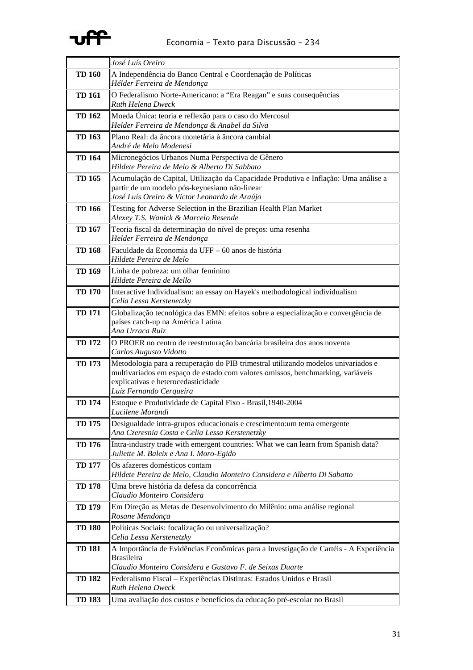# **uff**

|               | José Luís Oreiro                                                                                                                                                                                                                     |
|---------------|--------------------------------------------------------------------------------------------------------------------------------------------------------------------------------------------------------------------------------------|
| <b>TD 160</b> | A Independência do Banco Central e Coordenação de Políticas<br>Hélder Ferreira de Mendonça                                                                                                                                           |
| <b>TD 161</b> | O Federalismo Norte-Americano: a "Era Reagan" e suas consequências<br><b>Ruth Helena Dweck</b>                                                                                                                                       |
| <b>TD 162</b> | Moeda Única: teoria e reflexão para o caso do Mercosul<br>Helder Ferreira de Mendonça & Anabel da Silva                                                                                                                              |
| <b>TD 163</b> | Plano Real: da âncora monetária à âncora cambial<br>André de Melo Modenesi                                                                                                                                                           |
| <b>TD 164</b> | Micronegócios Urbanos Numa Perspectiva de Gênero<br>Hildete Pereira de Melo & Alberto Di Sabbato                                                                                                                                     |
| <b>TD 165</b> | Acumulação de Capital, Utilização da Capacidade Produtiva e Inflação: Uma análise a<br>partir de um modelo pós-keynesiano não-linear<br>José Luís Oreiro & Victor Leonardo de Araújo                                                 |
| <b>TD 166</b> | Testing for Adverse Selection in the Brazilian Health Plan Market<br>Alexey T.S. Wanick & Marcelo Resende                                                                                                                            |
| <b>TD 167</b> | Teoria fiscal da determinação do nível de preços: uma resenha<br>Helder Ferreira de Mendonça                                                                                                                                         |
| <b>TD 168</b> | Faculdade da Economia da UFF - 60 anos de história<br>Hildete Pereira de Melo                                                                                                                                                        |
| <b>TD 169</b> | Linha de pobreza: um olhar feminino<br>Hildete Pereira de Mello                                                                                                                                                                      |
| <b>TD 170</b> | Interactive Individualism: an essay on Hayek's methodological individualism<br>Celia Lessa Kerstenetzky                                                                                                                              |
| <b>TD 171</b> | Globalização tecnológica das EMN: efeitos sobre a especialização e convergência de<br>países catch-up na América Latina<br>Ana Urraca Ruiz                                                                                           |
| <b>TD 172</b> | O PROER no centro de reestruturação bancária brasileira dos anos noventa<br>Carlos Augusto Vidotto                                                                                                                                   |
| <b>TD 173</b> | Metodologia para a recuperação do PIB trimestral utilizando modelos univariados e<br>multivariados em espaço de estado com valores omissos, benchmarking, variáveis<br>explicativas e heterocedasticidade<br>Luiz Fernando Cerqueira |
| <b>TD 174</b> | Estoque e Produtividade de Capital Fixo - Brasil, 1940-2004<br>Lucilene Morandi                                                                                                                                                      |
| <b>TD 175</b> | Desigualdade intra-grupos educacionais e crescimento:um tema emergente<br>Ana Czeresnia Costa e Celia Lessa Kerstenetzky                                                                                                             |
| <b>TD 176</b> | Intra-industry trade with emergent countries: What we can learn from Spanish data?<br>Juliette M. Baleix e Ana I. Moro-Egido                                                                                                         |
| <b>TD 177</b> | Os afazeres domésticos contam<br>Hildete Pereira de Melo, Claudio Monteiro Considera e Alberto Di Sabatto                                                                                                                            |
| <b>TD 178</b> | Uma breve história da defesa da concorrência<br>Claudio Monteiro Considera                                                                                                                                                           |
| <b>TD 179</b> | Em Direção as Metas de Desenvolvimento do Milênio: uma análise regional<br>Rosane Mendonça                                                                                                                                           |
| <b>TD 180</b> | Políticas Sociais: focalização ou universalização?<br>Celia Lessa Kerstenetzky                                                                                                                                                       |
| <b>TD 181</b> | A Importância de Evidências Econômicas para a Investigação de Cartéis - A Experiência<br><b>Brasileira</b><br>Claudio Monteiro Considera e Gustavo F. de Seixas Duarte                                                               |
| <b>TD 182</b> | Federalismo Fiscal - Experiências Distintas: Estados Unidos e Brasil<br>Ruth Helena Dweck                                                                                                                                            |
| <b>TD 183</b> | Uma avaliação dos custos e benefícios da educação pré-escolar no Brasil                                                                                                                                                              |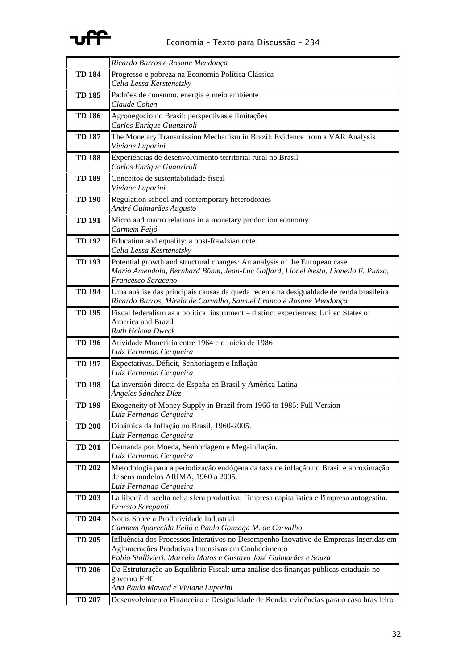

|               | Ricardo Barros e Rosane Mendonça                                                                                                                                                                                 |
|---------------|------------------------------------------------------------------------------------------------------------------------------------------------------------------------------------------------------------------|
| <b>TD 184</b> | Progresso e pobreza na Economia Política Clássica<br>Celia Lessa Kerstenetzky                                                                                                                                    |
| <b>TD 185</b> | Padrões de consumo, energia e meio ambiente<br>Claude Cohen                                                                                                                                                      |
| <b>TD 186</b> | Agronegócio no Brasil: perspectivas e limitações<br>Carlos Enrique Guanziroli                                                                                                                                    |
| <b>TD 187</b> | The Monetary Transmission Mechanism in Brazil: Evidence from a VAR Analysis<br>Viviane Luporini                                                                                                                  |
| <b>TD 188</b> | Experiências de desenvolvimento territorial rural no Brasil<br>Carlos Enrique Guanziroli                                                                                                                         |
| <b>TD 189</b> | Conceitos de sustentabilidade fiscal<br>Viviane Luporini                                                                                                                                                         |
| <b>TD 190</b> | Regulation school and contemporary heterodoxies<br>André Guimarães Augusto                                                                                                                                       |
| <b>TD 191</b> | Micro and macro relations in a monetary production economy<br>Carmem Feijó                                                                                                                                       |
| <b>TD 192</b> | Education and equality: a post-Rawlsian note<br>Celia Lessa Kesrtenetsky                                                                                                                                         |
| <b>TD 193</b> | Potential growth and structural changes: An analysis of the European case<br>Mario Amendola, Bernhard Böhm, Jean-Luc Gaffard, Lionel Nesta, Lionello F. Punzo,<br>Francesco Saraceno                             |
| <b>TD 194</b> | Uma análise das principais causas da queda recente na desigualdade de renda brasileira<br>Ricardo Barros, Mirela de Carvalho, Samuel Franco e Rosane Mendonça                                                    |
| <b>TD 195</b> | Fiscal federalism as a political instrument - distinct experiences: United States of<br>America and Brazil<br><b>Ruth Helena Dweck</b>                                                                           |
| <b>TD 196</b> | Atividade Monetária entre 1964 e o Início de 1986<br>Luiz Fernando Cerqueira                                                                                                                                     |
| <b>TD 197</b> | Expectativas, Déficit, Senhoriagem e Inflação<br>Luiz Fernando Cerqueira                                                                                                                                         |
| <b>TD 198</b> | La inversión directa de España en Brasil y América Latina<br>Ángeles Sánchez Díez                                                                                                                                |
| <b>TD 199</b> | Exogeneity of Money Supply in Brazil from 1966 to 1985: Full Version<br>Luiz Fernando Cerqueira                                                                                                                  |
| <b>TD 200</b> | Dinâmica da Inflação no Brasil, 1960-2005.<br>Luiz Fernando Cerqueira                                                                                                                                            |
| <b>TD 201</b> | Demanda por Moeda, Senhoriagem e Megainflação.<br>Luiz Fernando Cerqueira                                                                                                                                        |
| <b>TD 202</b> | Metodologia para a periodização endógena da taxa de inflação no Brasil e aproximação<br>de seus modelos ARIMA, 1960 a 2005.<br>Luiz Fernando Cerqueira                                                           |
| <b>TD 203</b> | La libertà di scelta nella sfera produttiva: l'impresa capitalistica e l'impresa autogestita.<br>Ernesto Screpanti                                                                                               |
| <b>TD 204</b> | Notas Sobre a Produtividade Industrial<br>Carmem Aparecida Feijó e Paulo Gonzaga M. de Carvalho                                                                                                                  |
| <b>TD 205</b> | Influência dos Processos Interativos no Desempenho Inovativo de Empresas Inseridas em<br>Aglomerações Produtivas Intensivas em Conhecimento<br>Fabio Stallivieri, Marcelo Matos e Gustavo José Guimarães e Souza |
| <b>TD 206</b> | Da Estruturação ao Equilíbrio Fiscal: uma análise das finanças públicas estaduais no<br>governo FHC<br>Ana Paula Mawad e Viviane Luporini                                                                        |
| <b>TD 207</b> | Desenvolvimento Financeiro e Desigualdade de Renda: evidências para o caso brasileiro                                                                                                                            |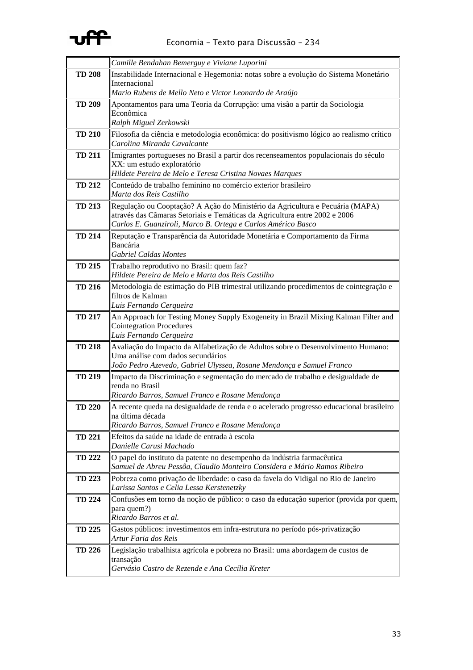

|               | Camille Bendahan Bemerguy e Viviane Luporini                                                                                                        |
|---------------|-----------------------------------------------------------------------------------------------------------------------------------------------------|
| <b>TD 208</b> | Instabilidade Internacional e Hegemonia: notas sobre a evolução do Sistema Monetário                                                                |
|               | Internacional<br>Mario Rubens de Mello Neto e Victor Leonardo de Araújo                                                                             |
| <b>TD 209</b> | Apontamentos para uma Teoria da Corrupção: uma visão a partir da Sociologia                                                                         |
|               | Econômica                                                                                                                                           |
|               | Ralph Miguel Zerkowski                                                                                                                              |
| <b>TD 210</b> | Filosofia da ciência e metodologia econômica: do positivismo lógico ao realismo crítico                                                             |
|               | Carolina Miranda Cavalcante                                                                                                                         |
| <b>TD 211</b> | Imigrantes portugueses no Brasil a partir dos recenseamentos populacionais do século<br>XX: um estudo exploratório                                  |
|               | Hildete Pereira de Melo e Teresa Cristina Novaes Marques                                                                                            |
| <b>TD 212</b> | Conteúdo de trabalho feminino no comércio exterior brasileiro                                                                                       |
|               | Marta dos Reis Castilho                                                                                                                             |
| <b>TD 213</b> | Regulação ou Cooptação? A Ação do Ministério da Agricultura e Pecuária (MAPA)                                                                       |
|               | através das Câmaras Setoriais e Temáticas da Agricultura entre 2002 e 2006<br>Carlos E. Guanziroli, Marco B. Ortega e Carlos Américo Basco          |
| <b>TD 214</b> | Reputação e Transparência da Autoridade Monetária e Comportamento da Firma                                                                          |
|               | Bancária                                                                                                                                            |
|               | Gabriel Caldas Montes                                                                                                                               |
| <b>TD 215</b> | Trabalho reprodutivo no Brasil: quem faz?                                                                                                           |
|               | Hildete Pereira de Melo e Marta dos Reis Castilho                                                                                                   |
| <b>TD 216</b> | Metodologia de estimação do PIB trimestral utilizando procedimentos de cointegração e<br>filtros de Kalman                                          |
|               | Luis Fernando Cerqueira                                                                                                                             |
| <b>TD 217</b> | An Approach for Testing Money Supply Exogeneity in Brazil Mixing Kalman Filter and                                                                  |
|               | <b>Cointegration Procedures</b>                                                                                                                     |
| <b>TD 218</b> | Luis Fernando Cerqueira<br>Avaliação do Impacto da Alfabetização de Adultos sobre o Desenvolvimento Humano:                                         |
|               | Uma análise com dados secundários                                                                                                                   |
|               | João Pedro Azevedo, Gabriel Ulyssea, Rosane Mendonça e Samuel Franco                                                                                |
| <b>TD 219</b> | Impacto da Discriminação e segmentação do mercado de trabalho e desigualdade de                                                                     |
|               | renda no Brasil<br>Ricardo Barros, Samuel Franco e Rosane Mendonça                                                                                  |
| <b>TD 220</b> | A recente queda na desigualdade de renda e o acelerado progresso educacional brasileiro                                                             |
|               | na última década                                                                                                                                    |
|               | Ricardo Barros, Samuel Franco e Rosane Mendonça                                                                                                     |
| <b>TD 221</b> | Efeitos da saúde na idade de entrada à escola                                                                                                       |
|               | Danielle Carusi Machado                                                                                                                             |
| <b>TD 222</b> | O papel do instituto da patente no desempenho da indústria farmacêutica<br>Samuel de Abreu Pessôa, Claudio Monteiro Considera e Mário Ramos Ribeiro |
| <b>TD 223</b> | Pobreza como privação de liberdade: o caso da favela do Vidigal no Rio de Janeiro                                                                   |
|               | Larissa Santos e Celia Lessa Kerstenetzky                                                                                                           |
| <b>TD 224</b> | Confusões em torno da noção de público: o caso da educação superior (provida por quem,                                                              |
|               | para quem?)                                                                                                                                         |
| <b>TD 225</b> | Ricardo Barros et al.<br>Gastos públicos: investimentos em infra-estrutura no período pós-privatização                                              |
|               | Artur Faria dos Reis                                                                                                                                |
| <b>TD 226</b> | Legislação trabalhista agrícola e pobreza no Brasil: uma abordagem de custos de                                                                     |
|               | transação                                                                                                                                           |
|               | Gervásio Castro de Rezende e Ana Cecília Kreter                                                                                                     |